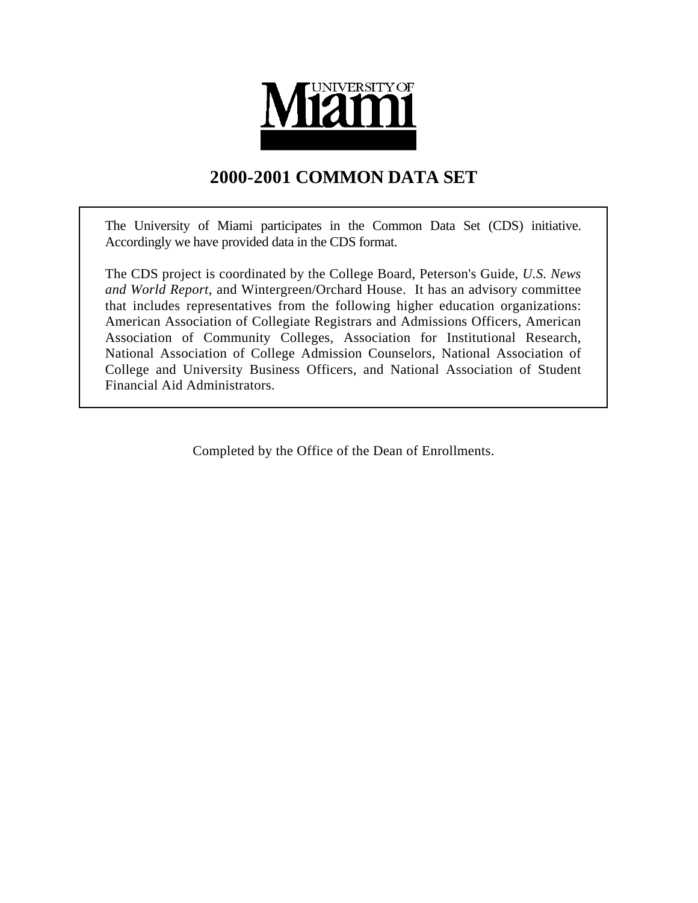

# **2000-2001 COMMON DATA SET**

The University of Miami participates in the Common Data Set (CDS) initiative. Accordingly we have provided data in the CDS format.

The CDS project is coordinated by the College Board, Peterson's Guide, *U.S. News and World Report*, and Wintergreen/Orchard House. It has an advisory committee that includes representatives from the following higher education organizations: American Association of Collegiate Registrars and Admissions Officers, American Association of Community Colleges, Association for Institutional Research, National Association of College Admission Counselors, National Association of College and University Business Officers, and National Association of Student Financial Aid Administrators.

Completed by the Office of the Dean of Enrollments.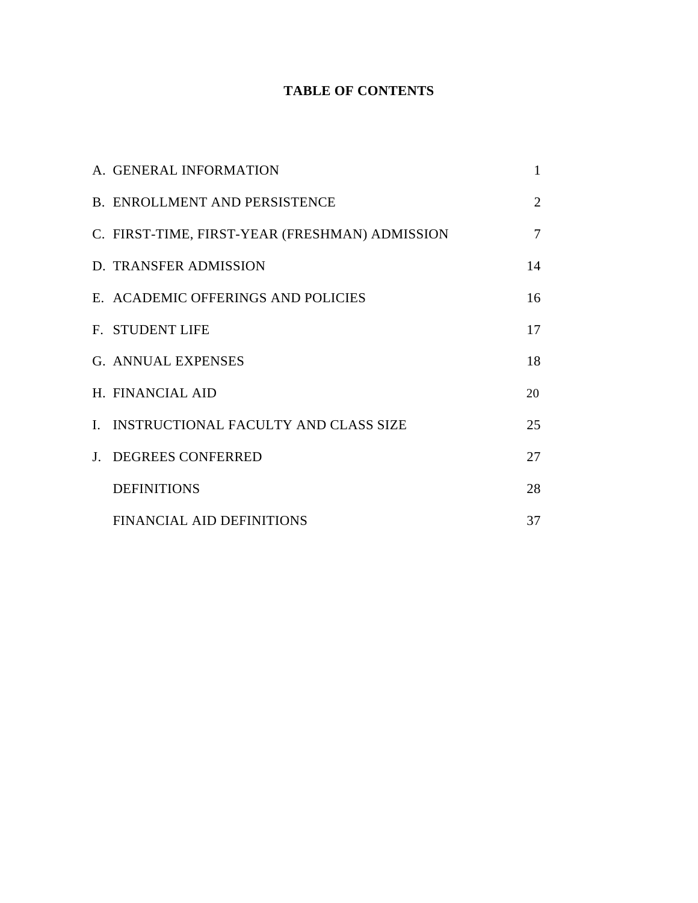# **TABLE OF CONTENTS**

| A. GENERAL INFORMATION                         | 1  |
|------------------------------------------------|----|
| <b>B. ENROLLMENT AND PERSISTENCE</b>           | 2  |
| C. FIRST-TIME, FIRST-YEAR (FRESHMAN) ADMISSION | 7  |
| D. TRANSFER ADMISSION                          | 14 |
| E. ACADEMIC OFFERINGS AND POLICIES             | 16 |
| <b>F. STUDENT LIFE</b>                         | 17 |
| <b>G. ANNUAL EXPENSES</b>                      | 18 |
| H. FINANCIAL AID                               | 20 |
| I. INSTRUCTIONAL FACULTY AND CLASS SIZE        | 25 |
| J. DEGREES CONFERRED                           | 27 |
| <b>DEFINITIONS</b>                             | 28 |
| FINANCIAL AID DEFINITIONS                      | 37 |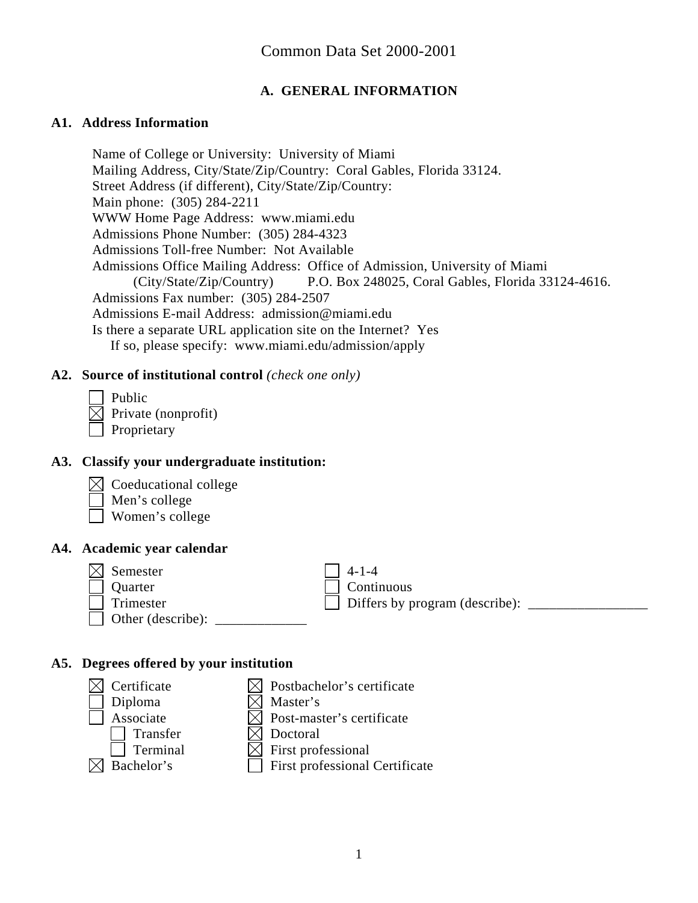# **A. GENERAL INFORMATION**

#### **A1. Address Information**

Name of College or University: University of Miami Mailing Address, City/State/Zip/Country: Coral Gables, Florida 33124. Street Address (if different), City/State/Zip/Country: Main phone: (305) 284-2211 WWW Home Page Address: www.miami.edu Admissions Phone Number: (305) 284-4323 Admissions Toll-free Number: Not Available Admissions Office Mailing Address: Office of Admission, University of Miami (City/State/Zip/Country) P.O. Box 248025, Coral Gables, Florida 33124-4616. Admissions Fax number: (305) 284-2507 Admissions E-mail Address: admission@miami.edu Is there a separate URL application site on the Internet? Yes If so, please specify: www.miami.edu/admission/apply

#### **A2. Source of institutional control** *(check one only)*

 Public  $\boxtimes$  Private (nonprofit) Proprietary

#### **A3. Classify your undergraduate institution:**

- Coeducational college
- Men's college
- Women's college

#### **A4. Academic year calendar**

| $\bowtie$ Semester |
|--------------------|
| Quarter            |
| Trimester          |
| Other (describe):  |

 $4-1-4$ Continuous Differs by program (describe):

# **A5. Degrees offered by your institution**

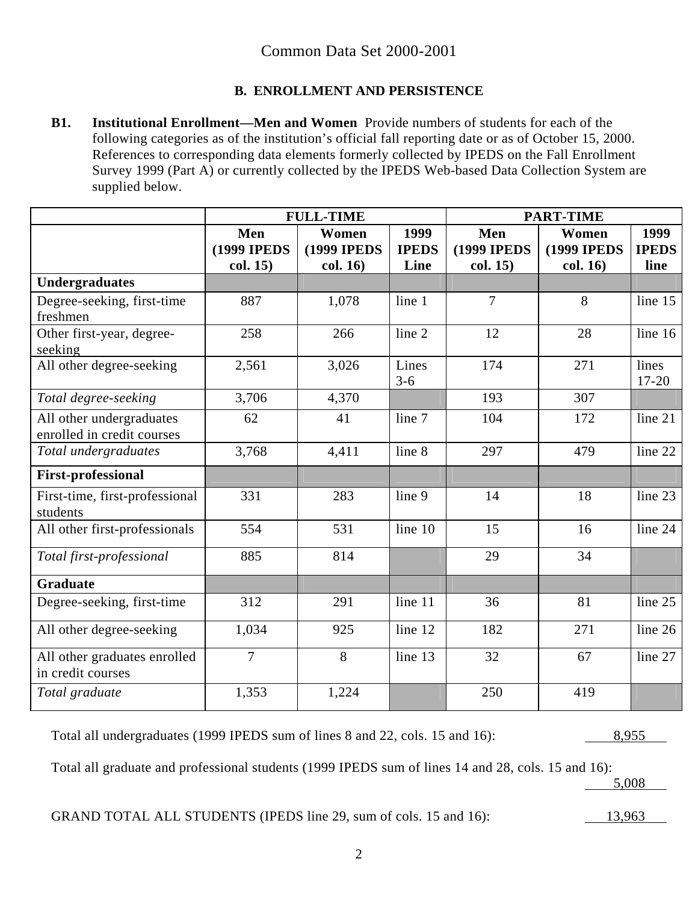# **B. ENROLLMENT AND PERSISTENCE**

**B1. Institutional Enrollment—Men and Women** Provide numbers of students for each of the following categories as of the institution's official fall reporting date or as of October 15, 2000. References to corresponding data elements formerly collected by IPEDS on the Fall Enrollment Survey 1999 (Part A) or currently collected by the IPEDS Web-based Data Collection System are supplied below.

|                                                        | <b>FULL-TIME</b>           |                              |                      | <b>PART-TIME</b>           |                              |                      |
|--------------------------------------------------------|----------------------------|------------------------------|----------------------|----------------------------|------------------------------|----------------------|
|                                                        | Men<br><b>(1999 IPEDS)</b> | Women<br><b>(1999 IPEDS)</b> | 1999<br><b>IPEDS</b> | Men<br><b>(1999 IPEDS)</b> | Women<br><b>(1999 IPEDS)</b> | 1999<br><b>IPEDS</b> |
|                                                        | col. 15)                   | col. 16)                     | Line                 | col. 15)                   | col. 16)                     | line                 |
| <b>Undergraduates</b>                                  |                            |                              |                      |                            |                              |                      |
| Degree-seeking, first-time<br>freshmen                 | 887                        | 1,078                        | line 1               | $\overline{7}$             | 8                            | line $15$            |
| Other first-year, degree-<br>seeking                   | 258                        | 266                          | line 2               | 12                         | 28                           | line $16$            |
| All other degree-seeking                               | 2,561                      | 3,026                        | Lines<br>$3 - 6$     | 174                        | 271                          | lines<br>$17 - 20$   |
| Total degree-seeking                                   | 3,706                      | 4,370                        |                      | 193                        | 307                          |                      |
| All other undergraduates<br>enrolled in credit courses | 62                         | 41                           | line 7               | 104                        | 172                          | line 21              |
| Total undergraduates                                   | 3,768                      | 4,411                        | line 8               | 297                        | 479                          | line 22              |
| <b>First-professional</b>                              |                            |                              |                      |                            |                              |                      |
| First-time, first-professional<br>students             | 331                        | 283                          | line 9               | 14                         | 18                           | line 23              |
| All other first-professionals                          | 554                        | 531                          | line 10              | 15                         | 16                           | line 24              |
| Total first-professional                               | 885                        | 814                          |                      | 29                         | 34                           |                      |
| <b>Graduate</b>                                        |                            |                              |                      |                            |                              |                      |
| Degree-seeking, first-time                             | 312                        | 291                          | line 11              | 36                         | 81                           | line $25$            |
| All other degree-seeking                               | 1,034                      | 925                          | line 12              | 182                        | 271                          | line $26$            |
| All other graduates enrolled<br>in credit courses      | $\overline{7}$             | 8                            | line 13              | 32                         | 67                           | line 27              |
| Total graduate                                         | 1,353                      | 1,224                        |                      | 250                        | 419                          |                      |

Total all undergraduates (1999 IPEDS sum of lines 8 and 22, cols. 15 and 16): 8,955

Total all graduate and professional students (1999 IPEDS sum of lines 14 and 28, cols. 15 and 16):

5,008

GRAND TOTAL ALL STUDENTS (IPEDS line 29, sum of cols. 15 and 16): 13,963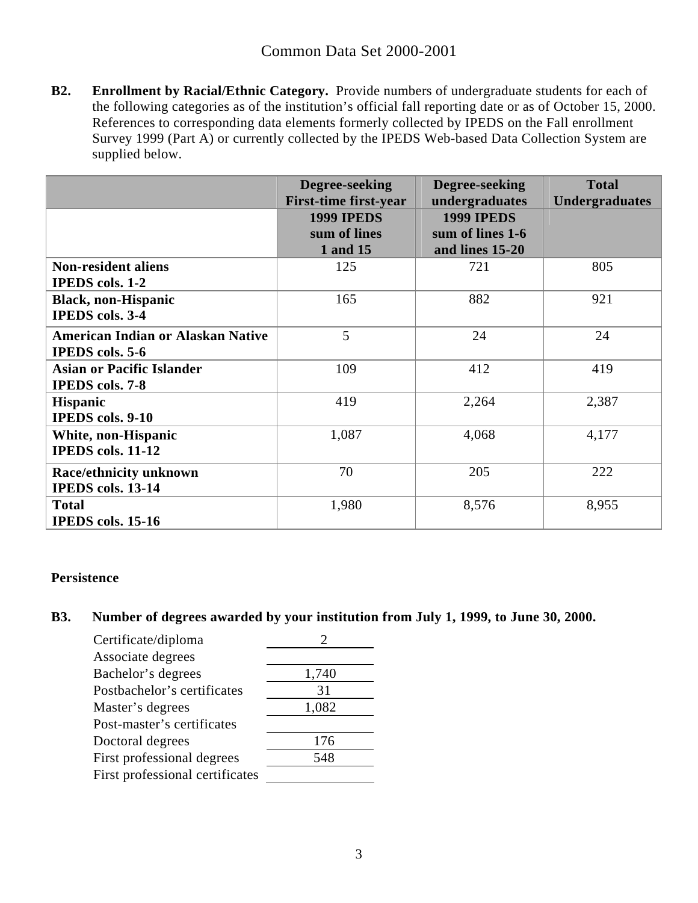**B2. Enrollment by Racial/Ethnic Category.** Provide numbers of undergraduate students for each of the following categories as of the institution's official fall reporting date or as of October 15, 2000. References to corresponding data elements formerly collected by IPEDS on the Fall enrollment Survey 1999 (Part A) or currently collected by the IPEDS Web-based Data Collection System are supplied below.

|                                          | Degree-seeking<br><b>First-time first-year</b> | Degree-seeking<br>undergraduates      | <b>Total</b><br><b>Undergraduates</b> |
|------------------------------------------|------------------------------------------------|---------------------------------------|---------------------------------------|
|                                          | <b>1999 IPEDS</b><br>sum of lines              | <b>1999 IPEDS</b><br>sum of lines 1-6 |                                       |
|                                          | 1 and 15                                       | and lines 15-20                       |                                       |
| <b>Non-resident aliens</b>               | 125                                            | 721                                   | 805                                   |
| <b>IPEDS</b> cols. 1-2                   |                                                |                                       |                                       |
| <b>Black, non-Hispanic</b>               | 165                                            | 882                                   | 921                                   |
| <b>IPEDS</b> cols. 3-4                   |                                                |                                       |                                       |
| <b>American Indian or Alaskan Native</b> | 5                                              | 24                                    | 24                                    |
| <b>IPEDS</b> cols. 5-6                   |                                                |                                       |                                       |
| <b>Asian or Pacific Islander</b>         | 109                                            | 412                                   | 419                                   |
| <b>IPEDS</b> cols. 7-8                   |                                                |                                       |                                       |
| <b>Hispanic</b>                          | 419                                            | 2,264                                 | 2,387                                 |
| <b>IPEDS</b> cols. 9-10                  |                                                |                                       |                                       |
| White, non-Hispanic                      | 1,087                                          | 4,068                                 | 4,177                                 |
| <b>IPEDS</b> cols. 11-12                 |                                                |                                       |                                       |
| <b>Race/ethnicity unknown</b>            | 70                                             | 205                                   | 222                                   |
| IPEDS cols. 13-14                        |                                                |                                       |                                       |
| <b>Total</b>                             | 1,980                                          | 8,576                                 | 8,955                                 |
| <b>IPEDS</b> cols. 15-16                 |                                                |                                       |                                       |

#### **Persistence**

# **B3. Number of degrees awarded by your institution from July 1, 1999, to June 30, 2000.**

| Certificate/diploma             |       |
|---------------------------------|-------|
| Associate degrees               |       |
| Bachelor's degrees              | 1,740 |
| Postbachelor's certificates     | 31    |
| Master's degrees                | 1,082 |
| Post-master's certificates      |       |
| Doctoral degrees                | 176   |
| First professional degrees      | 548   |
| First professional certificates |       |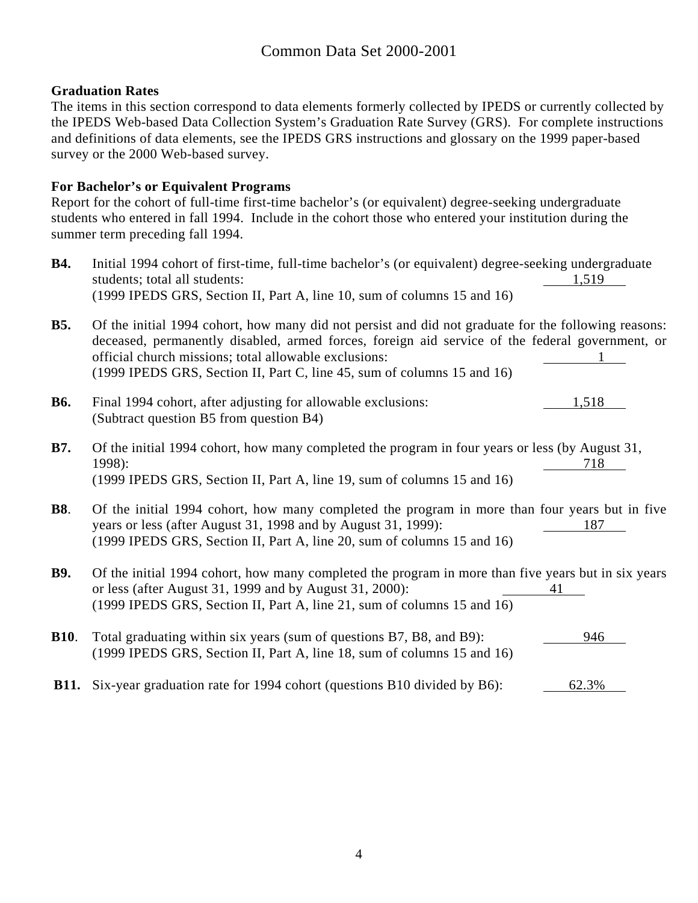#### **Graduation Rates**

The items in this section correspond to data elements formerly collected by IPEDS or currently collected by the IPEDS Web-based Data Collection System's Graduation Rate Survey (GRS). For complete instructions and definitions of data elements, see the IPEDS GRS instructions and glossary on the 1999 paper-based survey or the 2000 Web-based survey.

#### **For Bachelor's or Equivalent Programs**

Report for the cohort of full-time first-time bachelor's (or equivalent) degree-seeking undergraduate students who entered in fall 1994. Include in the cohort those who entered your institution during the summer term preceding fall 1994.

- **B4.** Initial 1994 cohort of first-time, full-time bachelor's (or equivalent) degree-seeking undergraduate students; total all students: 1,519 (1999 IPEDS GRS, Section II, Part A, line 10, sum of columns 15 and 16)
- **B5.** Of the initial 1994 cohort, how many did not persist and did not graduate for the following reasons: deceased, permanently disabled, armed forces, foreign aid service of the federal government, or official church missions; total allowable exclusions: 1 (1999 IPEDS GRS, Section II, Part C, line 45, sum of columns 15 and 16)
- **B6.** Final 1994 cohort, after adjusting for allowable exclusions: 1,518 (Subtract question B5 from question B4)
- **B7.** Of the initial 1994 cohort, how many completed the program in four years or less (by August 31, 1998): 718 (1999 IPEDS GRS, Section II, Part A, line 19, sum of columns 15 and 16)
- **B8**. Of the initial 1994 cohort, how many completed the program in more than four years but in five years or less (after August 31, 1998 and by August 31, 1999): 187 (1999 IPEDS GRS, Section II, Part A, line 20, sum of columns 15 and 16)
- **B9.** Of the initial 1994 cohort, how many completed the program in more than five years but in six years or less (after August 31, 1999 and by August 31, 2000): 41 (1999 IPEDS GRS, Section II, Part A, line 21, sum of columns 15 and 16)
- **B10**. Total graduating within six years (sum of questions B7, B8, and B9): 946 (1999 IPEDS GRS, Section II, Part A, line 18, sum of columns 15 and 16)
- **B11.** Six-year graduation rate for 1994 cohort (questions B10 divided by B6): 62.3%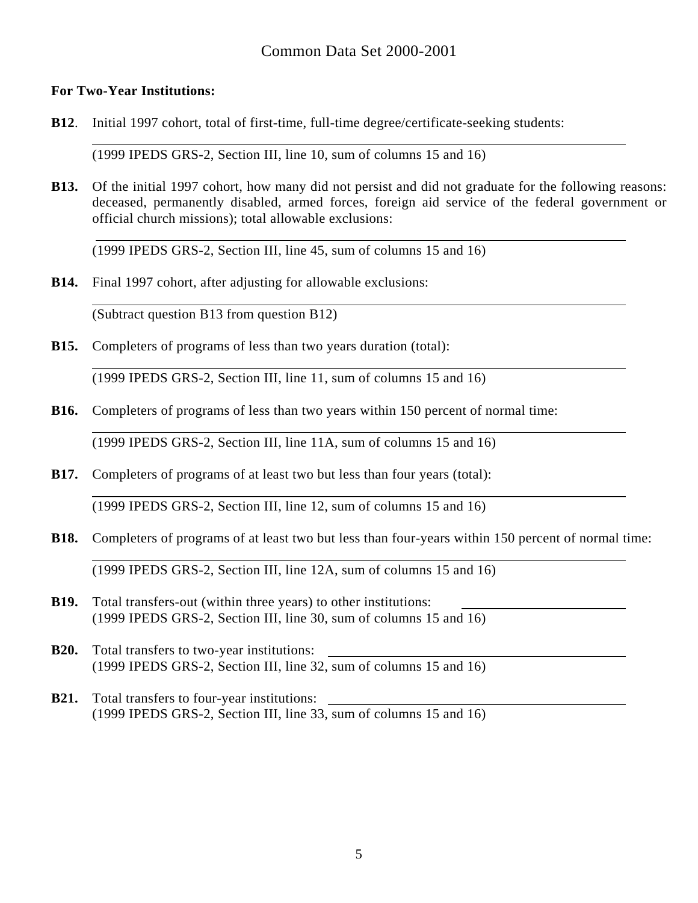#### **For Two-Year Institutions:**

 $\overline{a}$ 

 $\overline{a}$ 

 $\overline{a}$ 

**B12**. Initial 1997 cohort, total of first-time, full-time degree/certificate-seeking students:

(1999 IPEDS GRS-2, Section III, line 10, sum of columns 15 and 16)

**B13.** Of the initial 1997 cohort, how many did not persist and did not graduate for the following reasons: deceased, permanently disabled, armed forces, foreign aid service of the federal government or official church missions); total allowable exclusions:

(1999 IPEDS GRS-2, Section III, line 45, sum of columns 15 and 16)

**B14.** Final 1997 cohort, after adjusting for allowable exclusions:

(Subtract question B13 from question B12)

**B15.** Completers of programs of less than two years duration (total):

(1999 IPEDS GRS-2, Section III, line 11, sum of columns 15 and 16)

**B16.** Completers of programs of less than two years within 150 percent of normal time:

(1999 IPEDS GRS-2, Section III, line 11A, sum of columns 15 and 16)

**B17.** Completers of programs of at least two but less than four years (total):

(1999 IPEDS GRS-2, Section III, line 12, sum of columns 15 and 16)

- **B18.** Completers of programs of at least two but less than four-years within 150 percent of normal time:  $\overline{a}$ (1999 IPEDS GRS-2, Section III, line 12A, sum of columns 15 and 16)
- **B19.** Total transfers-out (within three years) to other institutions: (1999 IPEDS GRS-2, Section III, line 30, sum of columns 15 and 16)
- **B20.** Total transfers to two-year institutions: (1999 IPEDS GRS-2, Section III, line 32, sum of columns 15 and 16)
- **B21.** Total transfers to four-year institutions: (1999 IPEDS GRS-2, Section III, line 33, sum of columns 15 and 16)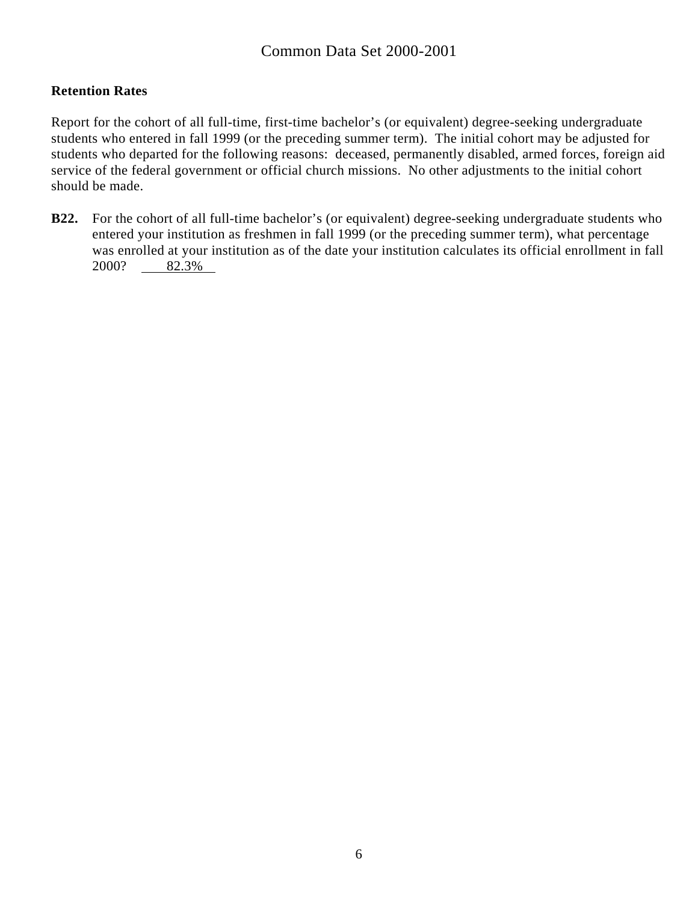### **Retention Rates**

Report for the cohort of all full-time, first-time bachelor's (or equivalent) degree-seeking undergraduate students who entered in fall 1999 (or the preceding summer term). The initial cohort may be adjusted for students who departed for the following reasons: deceased, permanently disabled, armed forces, foreign aid service of the federal government or official church missions. No other adjustments to the initial cohort should be made.

**B22.** For the cohort of all full-time bachelor's (or equivalent) degree-seeking undergraduate students who entered your institution as freshmen in fall 1999 (or the preceding summer term), what percentage was enrolled at your institution as of the date your institution calculates its official enrollment in fall 2000? 82.3%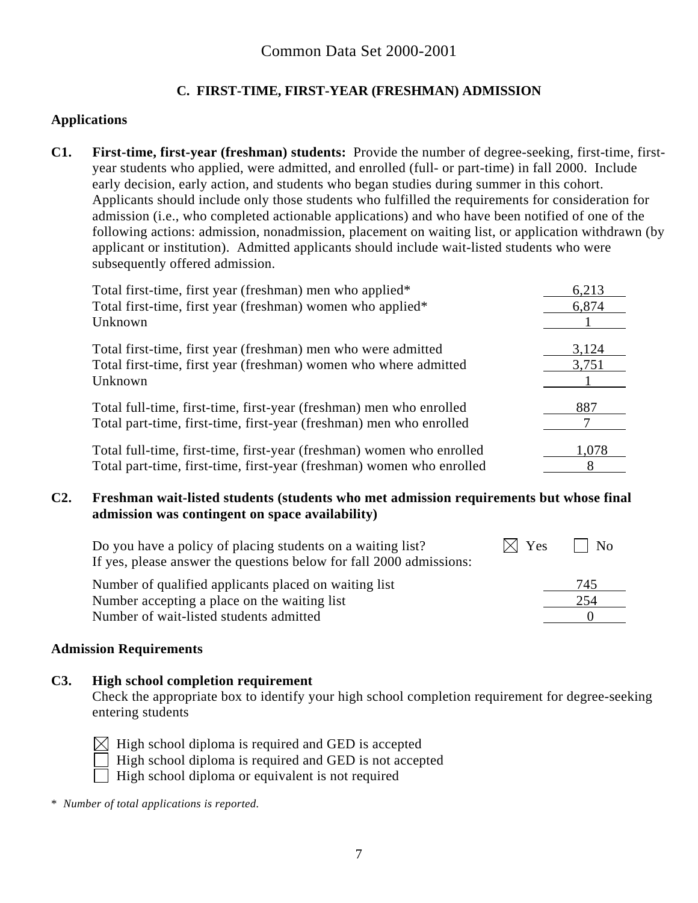# **C. FIRST-TIME, FIRST-YEAR (FRESHMAN) ADMISSION**

#### **Applications**

**C1. First-time, first-year (freshman) students:** Provide the number of degree-seeking, first-time, firstyear students who applied, were admitted, and enrolled (full- or part-time) in fall 2000. Include early decision, early action, and students who began studies during summer in this cohort. Applicants should include only those students who fulfilled the requirements for consideration for admission (i.e., who completed actionable applications) and who have been notified of one of the following actions: admission, nonadmission, placement on waiting list, or application withdrawn (by applicant or institution). Admitted applicants should include wait-listed students who were subsequently offered admission.

| Total first-time, first year (freshman) men who applied*              | 6,213 |
|-----------------------------------------------------------------------|-------|
| Total first-time, first year (freshman) women who applied*            | 6,874 |
| Unknown                                                               |       |
| Total first-time, first year (freshman) men who were admitted         | 3,124 |
|                                                                       |       |
| Total first-time, first year (freshman) women who where admitted      | 3,751 |
| Unknown                                                               |       |
| Total full-time, first-time, first-year (freshman) men who enrolled   | 887   |
| Total part-time, first-time, first-year (freshman) men who enrolled   |       |
| Total full-time, first-time, first-year (freshman) women who enrolled | 1,078 |
|                                                                       |       |
| Total part-time, first-time, first-year (freshman) women who enrolled | 8     |

#### **C2. Freshman wait-listed students (students who met admission requirements but whose final admission was contingent on space availability)**

| Do you have a policy of placing students on a waiting list?         | $\times$ Yes | N <sub>0</sub> |  |
|---------------------------------------------------------------------|--------------|----------------|--|
| If yes, please answer the questions below for fall 2000 admissions: |              |                |  |
| Number of qualified applicants placed on waiting list               |              | 745            |  |
| Number accepting a place on the waiting list                        |              | 254            |  |
| Number of wait-listed students admitted                             |              |                |  |

#### **Admission Requirements**

#### **C3. High school completion requirement**

Check the appropriate box to identify your high school completion requirement for degree-seeking entering students

High school diploma is required and GED is accepted

High school diploma is required and GED is not accepted

High school diploma or equivalent is not required

\* *Number of total applications is reported.*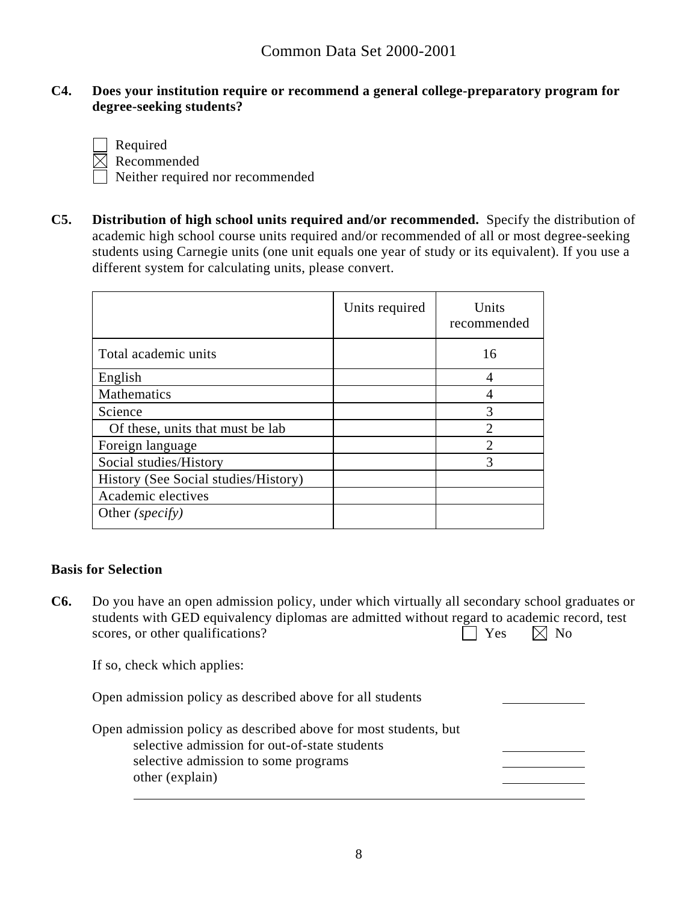#### **C4. Does your institution require or recommend a general college-preparatory program for degree-seeking students?**

Required

 $\boxtimes$  Recommended

Neither required nor recommended

**C5. Distribution of high school units required and/or recommended.** Specify the distribution of academic high school course units required and/or recommended of all or most degree-seeking students using Carnegie units (one unit equals one year of study or its equivalent). If you use a different system for calculating units, please convert.

|                                      | Units required | Units<br>recommended |
|--------------------------------------|----------------|----------------------|
| Total academic units                 |                | 16                   |
| English                              |                | 4                    |
| Mathematics                          |                |                      |
| Science                              |                | 3                    |
| Of these, units that must be lab     |                | $\mathcal{D}$        |
| Foreign language                     |                | $\mathcal{D}$        |
| Social studies/History               |                | 3                    |
| History (See Social studies/History) |                |                      |
| Academic electives                   |                |                      |
| Other (specify)                      |                |                      |

#### **Basis for Selection**

**C6.** Do you have an open admission policy, under which virtually all secondary school graduates or students with GED equivalency diplomas are admitted without regard to academic record, test scores, or other qualifications?  $\Box$  Yes  $\Box$  No

If so, check which applies:

Open admission policy as described above for all students

Open admission policy as described above for most students, but selective admission for out-of-state students selective admission to some programs other (explain)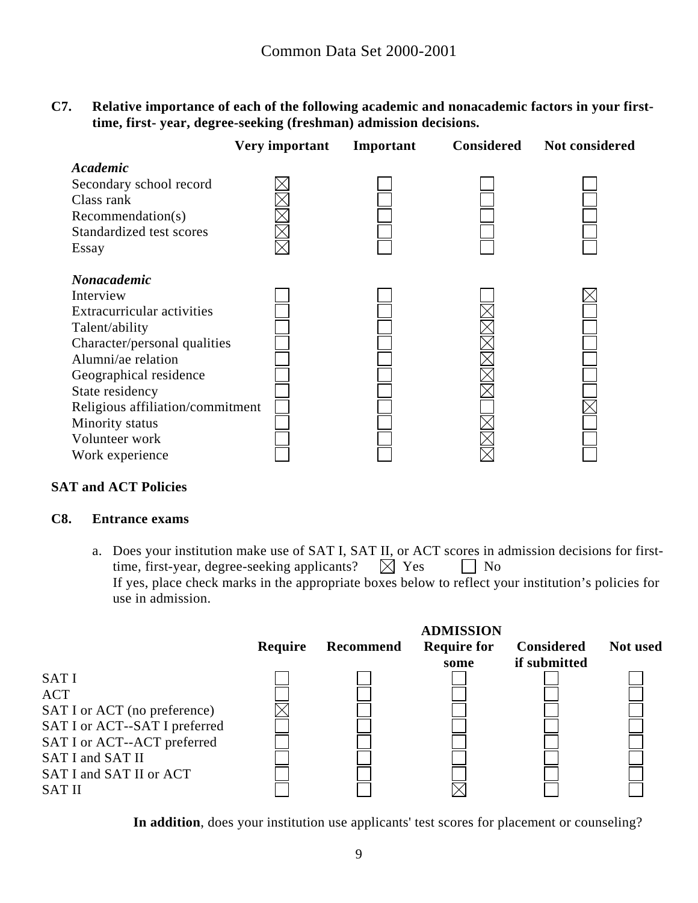**C7. Relative importance of each of the following academic and nonacademic factors in your firsttime, first- year, degree-seeking (freshman) admission decisions.** 

|                                                                                                                                              | Very important | Important | <b>Considered</b> | <b>Not considered</b> |
|----------------------------------------------------------------------------------------------------------------------------------------------|----------------|-----------|-------------------|-----------------------|
| Academic<br>Secondary school record<br>Class rank<br>Recommendation(s)<br>Standardized test scores<br>Essay                                  |                |           |                   |                       |
| <b>Nonacademic</b><br>Interview<br><b>Extracurricular activities</b><br>Talent/ability<br>Character/personal qualities<br>Alumni/ae relation |                |           |                   |                       |
| Geographical residence<br>State residency<br>Religious affiliation/commitment<br>Minority status<br>Volunteer work<br>Work experience        |                |           |                   |                       |

#### **SAT and ACT Policies**

#### **C8. Entrance exams**

a. Does your institution make use of SAT I, SAT II, or ACT scores in admission decisions for first-<br>time, first-year, degree-seeking applicants?  $\boxtimes$  Yes  $\Box$  No time, first-year, degree-seeking applicants?  $\boxtimes$  Yes  $\Box$  No If yes, place check marks in the appropriate boxes below to reflect your institution's policies for use in admission.

|                                                                                                                                                                                           | Require | Recommend | <b>ADMISSION</b><br><b>Require for</b><br>some | <b>Considered</b><br>if submitted | <b>Not</b> used |
|-------------------------------------------------------------------------------------------------------------------------------------------------------------------------------------------|---------|-----------|------------------------------------------------|-----------------------------------|-----------------|
| <b>SATI</b><br><b>ACT</b><br>SAT I or ACT (no preference)<br>SAT I or ACT--SAT I preferred<br>SAT I or ACT--ACT preferred<br>SAT I and SAT II<br>SAT I and SAT II or ACT<br><b>SAT II</b> |         |           |                                                |                                   |                 |

**In addition**, does your institution use applicants' test scores for placement or counseling?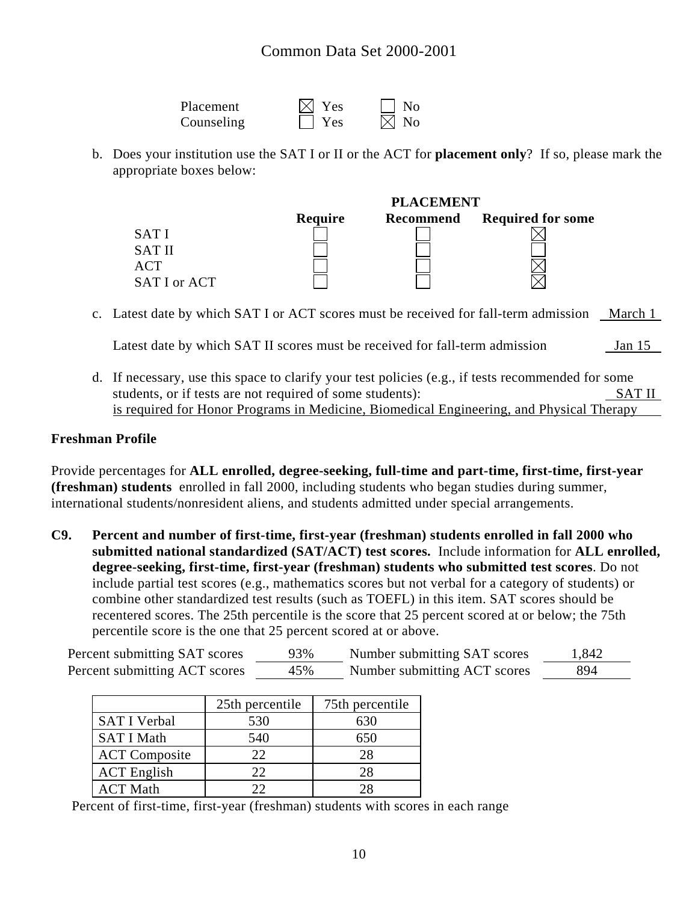| Placement  | $\boxtimes$ Yes | N <sub>0</sub> |
|------------|-----------------|----------------|
| Counseling | l Yes           | $\boxtimes$ No |

b. Does your institution use the SAT I or II or the ACT for **placement only**? If so, please mark the appropriate boxes below:

|              | <b>PLACEMENT</b> |           |                          |  |
|--------------|------------------|-----------|--------------------------|--|
|              | Require          | Recommend | <b>Required for some</b> |  |
| SAT I        |                  |           |                          |  |
| <b>SATII</b> |                  |           |                          |  |
| ACT          |                  |           |                          |  |
| SAT I or ACT |                  |           |                          |  |

c. Latest date by which SAT I or ACT scores must be received for fall-term admission March 1

Latest date by which SAT II scores must be received for fall-term admission Jan 15

d. If necessary, use this space to clarify your test policies (e.g., if tests recommended for some students, or if tests are not required of some students): SAT II is required for Honor Programs in Medicine, Biomedical Engineering, and Physical Therapy

#### **Freshman Profile**

Provide percentages for **ALL enrolled, degree-seeking, full-time and part-time, first-time, first-year (freshman) students** enrolled in fall 2000, including students who began studies during summer, international students/nonresident aliens, and students admitted under special arrangements.

**C9. Percent and number of first-time, first-year (freshman) students enrolled in fall 2000 who submitted national standardized (SAT/ACT) test scores.** Include information for **ALL enrolled, degree-seeking, first-time, first-year (freshman) students who submitted test scores**. Do not include partial test scores (e.g., mathematics scores but not verbal for a category of students) or combine other standardized test results (such as TOEFL) in this item. SAT scores should be recentered scores. The 25th percentile is the score that 25 percent scored at or below; the 75th percentile score is the one that 25 percent scored at or above.

| Percent submitting SAT scores | 93% | Number submitting SAT scores | 1,842 |
|-------------------------------|-----|------------------------------|-------|
| Percent submitting ACT scores | 45% | Number submitting ACT scores | 894   |

|                      | 25th percentile | 75th percentile |
|----------------------|-----------------|-----------------|
| <b>SAT I Verbal</b>  | 530             | 630             |
| <b>SAT I Math</b>    | 540             | 650             |
| <b>ACT Composite</b> | 22              | 28              |
| <b>ACT</b> English   | 22              | 28              |
| <b>ACT Math</b>      | רי              |                 |

Percent of first-time, first-year (freshman) students with scores in each range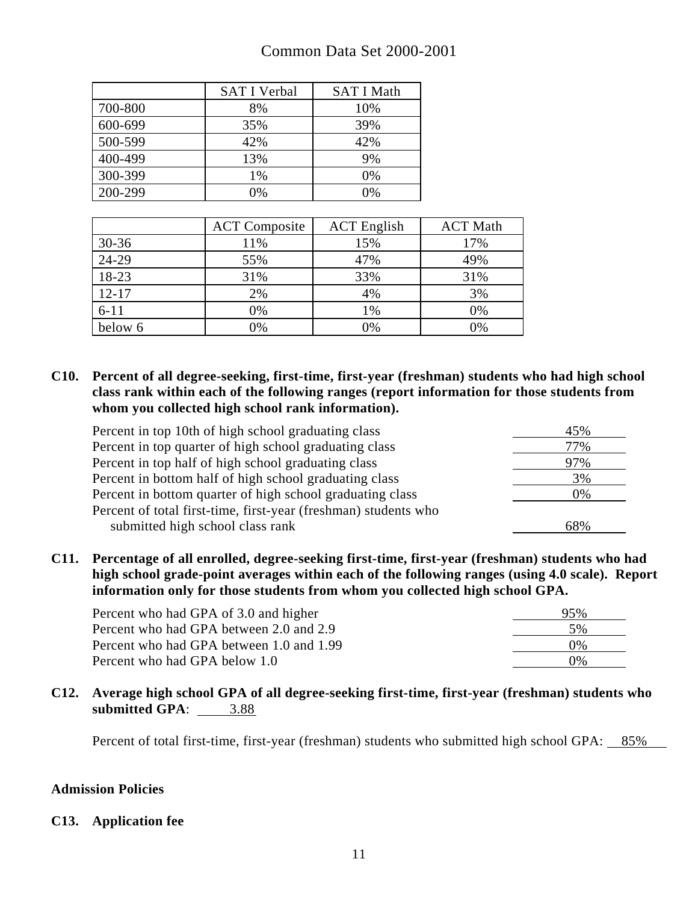# Common Data Set 2000-2001

|         | <b>SAT I Verbal</b> | <b>SAT I Math</b> |
|---------|---------------------|-------------------|
| 700-800 | 8%                  | 10%               |
| 600-699 | 35%                 | 39%               |
| 500-599 | 42%                 | 42%               |
| 400-499 | 13%                 | 9%                |
| 300-399 | 1%                  | 0%                |
| 200-299 | 0%                  | $0\%$             |

|           | <b>ACT</b> Composite | <b>ACT</b> English | <b>ACT Math</b> |
|-----------|----------------------|--------------------|-----------------|
| $30 - 36$ | 11%                  | 15%                | 17%             |
| 24-29     | 55%                  | 47%                | 49%             |
| 18-23     | 31%                  | 33%                | 31%             |
| $12 - 17$ | 2%                   | 4%                 | 3%              |
| $6 - 11$  | 0%                   | 1%                 | 0%              |
| below 6   | 0%                   | 0%                 | 0%              |

**C10. Percent of all degree-seeking, first-time, first-year (freshman) students who had high school class rank within each of the following ranges (report information for those students from whom you collected high school rank information).** 

| Percent in top 10th of high school graduating class             | 45% |
|-----------------------------------------------------------------|-----|
| Percent in top quarter of high school graduating class          | 77% |
| Percent in top half of high school graduating class             | 97% |
| Percent in bottom half of high school graduating class          | 3%  |
| Percent in bottom quarter of high school graduating class       | 0%  |
| Percent of total first-time, first-year (freshman) students who |     |
| submitted high school class rank                                | 68% |

**C11. Percentage of all enrolled, degree-seeking first-time, first-year (freshman) students who had high school grade-point averages within each of the following ranges (using 4.0 scale). Report information only for those students from whom you collected high school GPA.** 

| Percent who had GPA of 3.0 and higher    | 95%   |
|------------------------------------------|-------|
| Percent who had GPA between 2.0 and 2.9  | 5%    |
| Percent who had GPA between 1.0 and 1.99 | $0\%$ |
| Percent who had GPA below 1.0            | $0\%$ |

#### **C12. Average high school GPA of all degree-seeking first-time, first-year (freshman) students who submitted GPA:**  $\underline{\hspace{1cm}} 3.88$

Percent of total first-time, first-year (freshman) students who submitted high school GPA: 85%

#### **Admission Policies**

#### **C13. Application fee**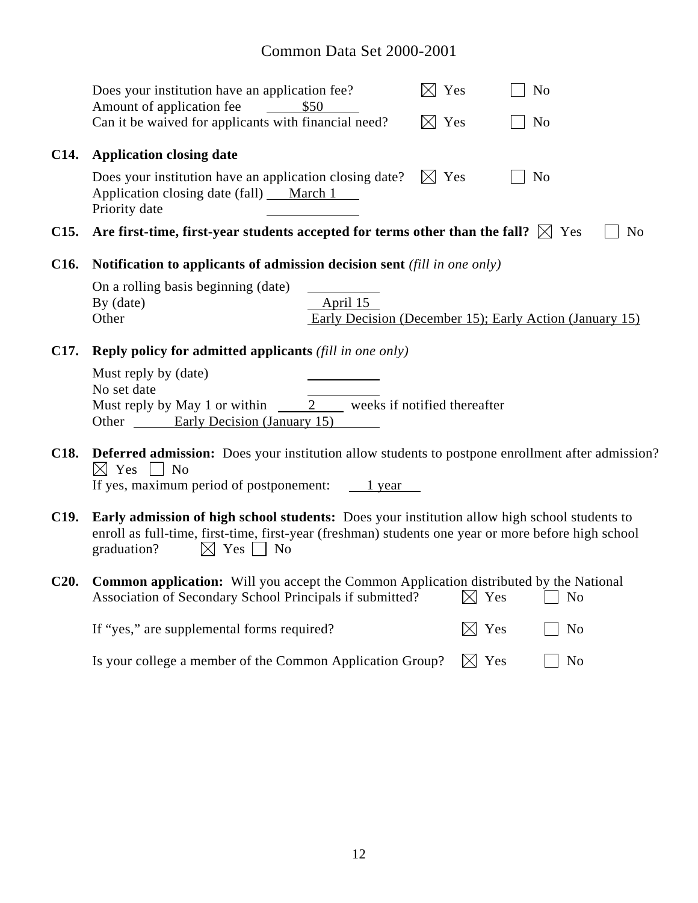# Common Data Set 2000-2001

|                   | Does your institution have an application fee?<br>N <sub>o</sub><br>$\times$<br>Yes<br>Amount of application fee<br>\$50                                                                                                                     |
|-------------------|----------------------------------------------------------------------------------------------------------------------------------------------------------------------------------------------------------------------------------------------|
|                   | Can it be waived for applicants with financial need?<br>$\boxtimes$ Yes<br>N <sub>o</sub>                                                                                                                                                    |
| C <sub>14</sub> . | <b>Application closing date</b>                                                                                                                                                                                                              |
|                   | Does your institution have an application closing date?<br>$\boxtimes$ Yes<br>N <sub>o</sub><br>Application closing date (fall) ___ March 1<br>Priority date                                                                                 |
| C <sub>15</sub> . | Are first-time, first-year students accepted for terms other than the fall? $\boxtimes$ Yes<br>N <sub>o</sub>                                                                                                                                |
| C <sub>16</sub> . | Notification to applicants of admission decision sent (fill in one only)                                                                                                                                                                     |
|                   | On a rolling basis beginning (date)<br>April 15<br>By (date)<br>Other<br>Early Decision (December 15); Early Action (January 15)                                                                                                             |
| C <sub>17</sub> . | <b>Reply policy for admitted applicants</b> (fill in one only)                                                                                                                                                                               |
|                   | Must reply by (date)<br>No set date<br>Must reply by May 1 or within $\qquad 2 \qquad$ weeks if notified thereafter<br>Other <b>Early Decision (January 15)</b>                                                                              |
| C <sub>18</sub> . | <b>Deferred admission:</b> Does your institution allow students to postpone enrollment after admission?<br>$\boxtimes$ Yes $\Box$ No<br>If yes, maximum period of postponement:<br>1 year                                                    |
| C <sub>19</sub> . | Early admission of high school students: Does your institution allow high school students to<br>enroll as full-time, first-time, first-year (freshman) students one year or more before high school<br>$\boxtimes$ Yes     No<br>graduation? |
| C20.              | <b>Common application:</b> Will you accept the Common Application distributed by the National<br>Association of Secondary School Principals if submitted?<br>$\boxtimes$ Yes<br>N <sub>o</sub>                                               |
|                   | If "yes," are supplemental forms required?<br>$\boxtimes$ Yes<br>N <sub>0</sub>                                                                                                                                                              |
|                   | $\boxtimes$ Yes<br>Is your college a member of the Common Application Group?<br>N <sub>o</sub>                                                                                                                                               |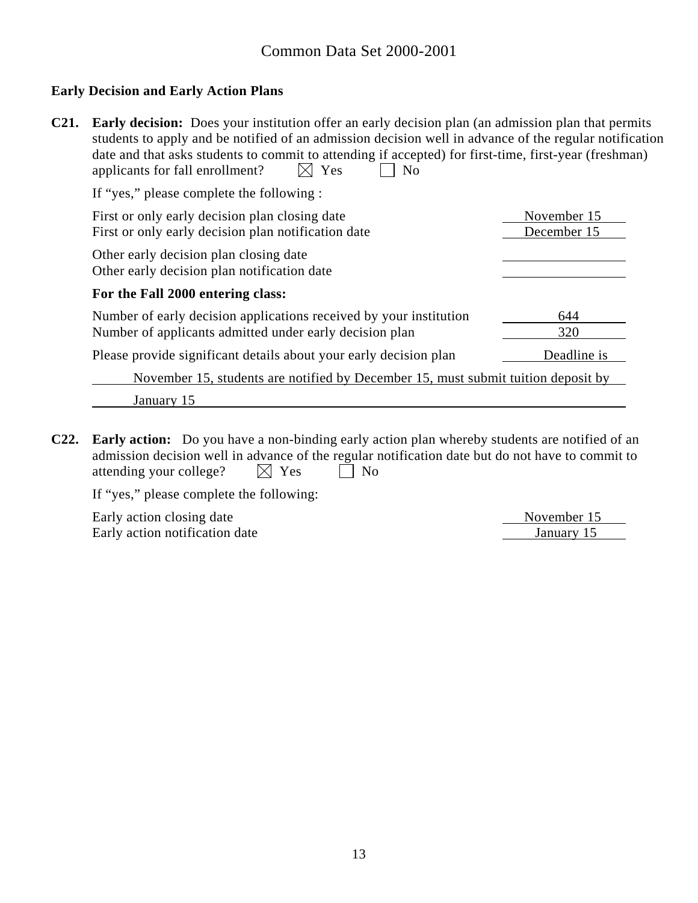#### **Early Decision and Early Action Plans**

| $C21$ . | <b>Early decision:</b> Does your institution offer an early decision plan (an admission plan that permits<br>students to apply and be notified of an admission decision well in advance of the regular notification<br>date and that asks students to commit to attending if accepted) for first-time, first-year (freshman)<br>Yes<br>applicants for fall enrollment?<br>N <sub>0</sub> |                            |  |  |
|---------|------------------------------------------------------------------------------------------------------------------------------------------------------------------------------------------------------------------------------------------------------------------------------------------------------------------------------------------------------------------------------------------|----------------------------|--|--|
|         | If "yes," please complete the following :                                                                                                                                                                                                                                                                                                                                                |                            |  |  |
|         | First or only early decision plan closing date<br>First or only early decision plan notification date                                                                                                                                                                                                                                                                                    | November 15<br>December 15 |  |  |
|         | Other early decision plan closing date<br>Other early decision plan notification date                                                                                                                                                                                                                                                                                                    |                            |  |  |
|         | For the Fall 2000 entering class:                                                                                                                                                                                                                                                                                                                                                        |                            |  |  |
|         | Number of early decision applications received by your institution                                                                                                                                                                                                                                                                                                                       | 644                        |  |  |
|         | Number of applicants admitted under early decision plan                                                                                                                                                                                                                                                                                                                                  | 320                        |  |  |
|         | Please provide significant details about your early decision plan                                                                                                                                                                                                                                                                                                                        | Deadline is                |  |  |
|         | November 15, students are notified by December 15, must submit tuition deposit by                                                                                                                                                                                                                                                                                                        |                            |  |  |
|         | January 15                                                                                                                                                                                                                                                                                                                                                                               |                            |  |  |

**C22. Early action:** Do you have a non-binding early action plan whereby students are notified of an admission decision well in advance of the regular notification date but do not have to commit to attending your college?  $\boxtimes$  Yes  $\Box$  No

If "yes," please complete the following:

Early action closing date Movember 15 November 15<br>
Early action notification date January 15 Early action notification date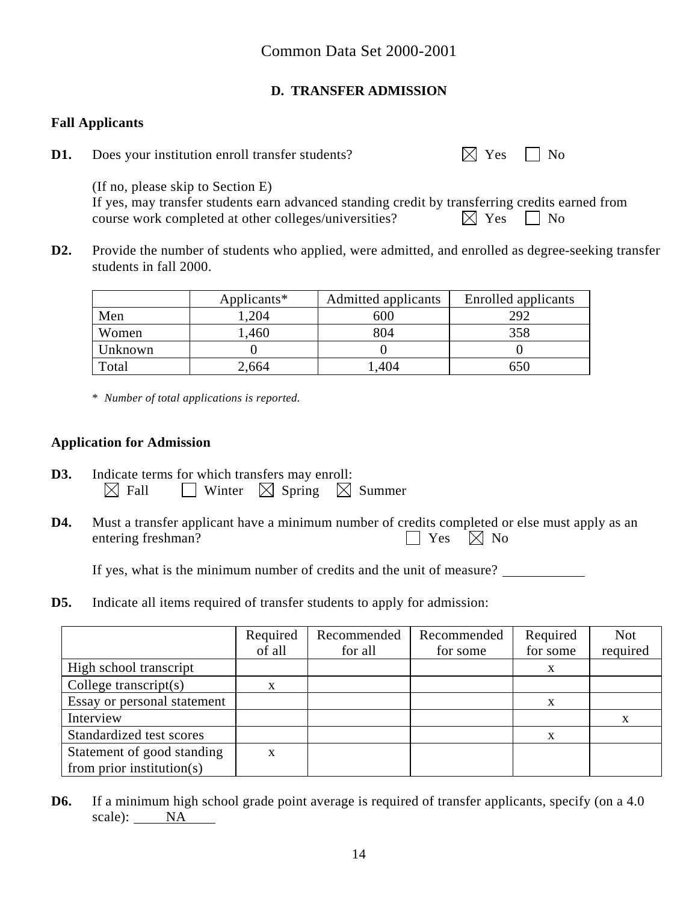# **D. TRANSFER ADMISSION**

### **Fall Applicants**

**D1.** Does your institution enroll transfer students?  $\boxtimes$  Yes  $\Box$  No

 (If no, please skip to Section E) If yes, may transfer students earn advanced standing credit by transferring credits earned from

course work completed at other colleges/universities?  $\boxtimes$  Yes  $\Box$  No

**D2.** Provide the number of students who applied, were admitted, and enrolled as degree-seeking transfer students in fall 2000.

|         | Applicants* | Admitted applicants | Enrolled applicants |
|---------|-------------|---------------------|---------------------|
| Men     | .204        | 600                 | 292                 |
| Women   | .460        | 804                 | 358                 |
| Unknown |             |                     |                     |
| Total   | 2,664       | .404                | 650                 |

\* *Number of total applications is reported.* 

#### **Application for Admission**

- **D3.** Indicate terms for which transfers may enroll:  $\boxtimes$  Fall  $\Box$  Winter  $\boxtimes$  Spring  $\boxtimes$  Summer
- **D4.** Must a transfer applicant have a minimum number of credits completed or else must apply as an entering freshman?  $\Box$  Yes  $\Box$  No

If yes, what is the minimum number of credits and the unit of measure?

**D5.** Indicate all items required of transfer students to apply for admission:

|                               | Required<br>of all | Recommended<br>for all | Recommended<br>for some | Required<br>for some | <b>Not</b><br>required |
|-------------------------------|--------------------|------------------------|-------------------------|----------------------|------------------------|
| High school transcript        |                    |                        |                         |                      |                        |
| College transcript $(s)$      | x                  |                        |                         |                      |                        |
| Essay or personal statement   |                    |                        |                         | X                    |                        |
| Interview                     |                    |                        |                         |                      | X                      |
| Standardized test scores      |                    |                        |                         | X                    |                        |
| Statement of good standing    | X                  |                        |                         |                      |                        |
| from prior institution( $s$ ) |                    |                        |                         |                      |                        |

**D6.** If a minimum high school grade point average is required of transfer applicants, specify (on a 4.0) scale): NA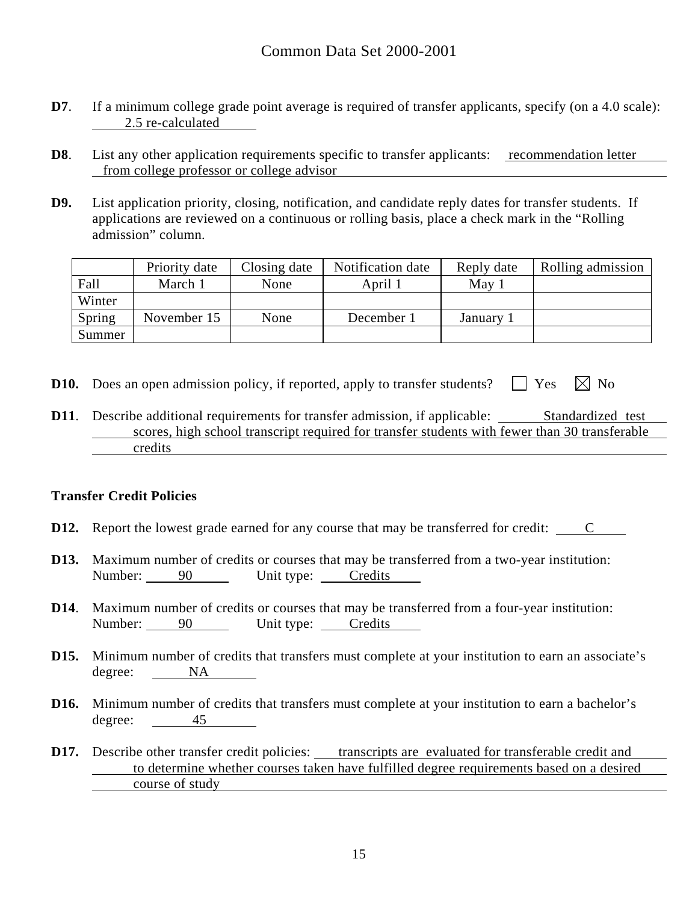- **D7**. If a minimum college grade point average is required of transfer applicants, specify (on a 4.0 scale): 2.5 re-calculated
- **D8**. List any other application requirements specific to transfer applicants: recommendation letter from college professor or college advisor
- **D9.** List application priority, closing, notification, and candidate reply dates for transfer students. If applications are reviewed on a continuous or rolling basis, place a check mark in the "Rolling admission" column.

|        | Priority date | Closing date | Notification date | Reply date | Rolling admission |
|--------|---------------|--------------|-------------------|------------|-------------------|
| Fall   | March 1       | None         | April 1           | May 1      |                   |
| Winter |               |              |                   |            |                   |
| Spring | November 15   | None         | December 1        | January 1  |                   |
| Summer |               |              |                   |            |                   |

- **D10.** Does an open admission policy, if reported, apply to transfer students?  $\Box$  Yes  $\Box$  No
- **D11.** Describe additional requirements for transfer admission, if applicable: Standardized test scores, high school transcript required for transfer students with fewer than 30 transferable credits

#### **Transfer Credit Policies**

- **D12.** Report the lowest grade earned for any course that may be transferred for credit: C
- **D13.** Maximum number of credits or courses that may be transferred from a two-year institution: Number: 90 Unit type: Credits
- **D14**. Maximum number of credits or courses that may be transferred from a four-year institution: Number: 90 Unit type: Credits
- **D15.** Minimum number of credits that transfers must complete at your institution to earn an associate's degree: <u>NA</u>
- **D16.** Minimum number of credits that transfers must complete at your institution to earn a bachelor's degree: 45
- **D17.** Describe other transfer credit policies: <u>transcripts are evaluated for transferable credit and</u> to determine whether courses taken have fulfilled degree requirements based on a desired course of study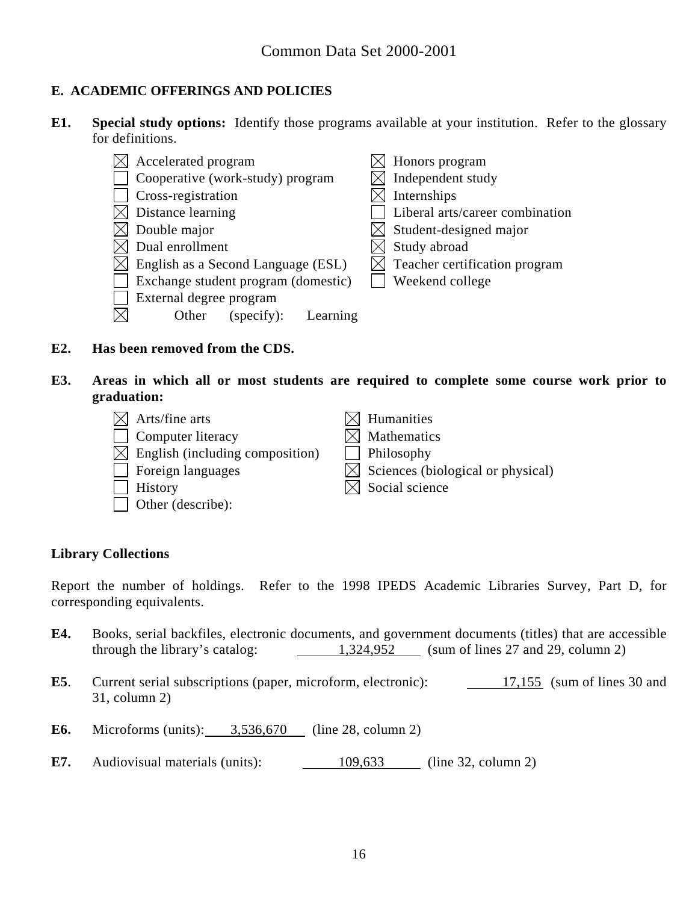# **E. ACADEMIC OFFERINGS AND POLICIES**

**E1. Special study options:** Identify those programs available at your institution. Refer to the glossary for definitions.

|             | Accelerated program                 |  | Honors program                          |
|-------------|-------------------------------------|--|-----------------------------------------|
|             | Cooperative (work-study) program    |  | Independent study                       |
|             | Cross-registration                  |  | Internships                             |
|             | Distance learning                   |  | Liberal arts/career combination         |
|             | Double major                        |  | Student-designed major                  |
|             | Dual enrollment                     |  | Study abroad                            |
| $\boxtimes$ | English as a Second Language (ESL)  |  | $\bowtie$ Teacher certification program |
|             | Exchange student program (domestic) |  | Weekend college                         |
|             | External degree program             |  |                                         |
|             | Other<br>(specify):<br>Learning     |  |                                         |

- **E2. Has been removed from the CDS.**
- **E3. Areas in which all or most students are required to complete some course work prior to graduation:**

| $\times$ Arts/fine arts                     | $\boxtimes$ Humanities                        |
|---------------------------------------------|-----------------------------------------------|
| Computer literacy                           | $\boxtimes$ Mathematics                       |
| $\boxtimes$ English (including composition) | Philosophy                                    |
| Foreign languages                           | $\boxtimes$ Sciences (biological or physical) |
| History                                     | $\boxtimes$ Social science                    |
| Other (describe):                           |                                               |

# **Library Collections**

Report the number of holdings. Refer to the 1998 IPEDS Academic Libraries Survey, Part D, for corresponding equivalents.

- **E4.** Books, serial backfiles, electronic documents, and government documents (titles) that are accessible through the library's catalog:  $1,324,952$  (sum of lines 27 and 29, column 2)
- **E5**. Current serial subscriptions (paper, microform, electronic): 17,155 (sum of lines 30 and 31, column 2)
- **E6.** Microforms (units): 3,536,670 (line 28, column 2)
- **E7.** Audiovisual materials (units):  $\underline{\qquad \qquad } 109,633$  (line 32, column 2)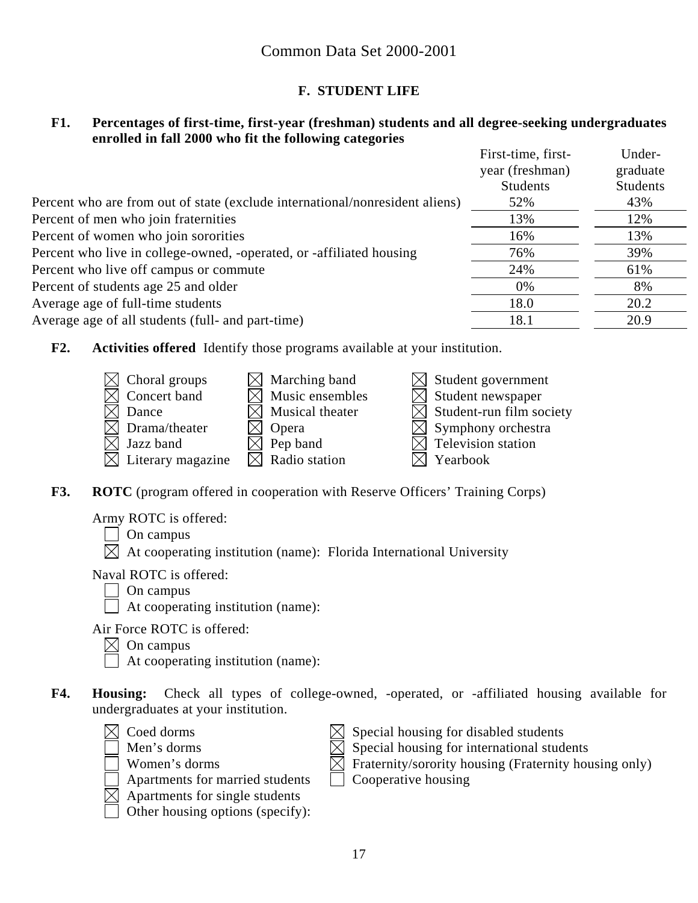# **F. STUDENT LIFE**

#### **F1. Percentages of first-time, first-year (freshman) students and all degree-seeking undergraduates enrolled in fall 2000 who fit the following categories**

|                                                                              | First-time, first- | Under-          |
|------------------------------------------------------------------------------|--------------------|-----------------|
|                                                                              | year (freshman)    | graduate        |
|                                                                              | <b>Students</b>    | <b>Students</b> |
| Percent who are from out of state (exclude international/nonresident aliens) | 52%                | 43%             |
| Percent of men who join fraternities                                         | 13%                | 12%             |
| Percent of women who join sororities                                         | 16%                | 13%             |
| Percent who live in college-owned, -operated, or -affiliated housing         | 76%                | 39%             |
| Percent who live off campus or commute                                       | 24%                | 61%             |
| Percent of students age 25 and older                                         | 0%                 | 8%              |
| Average age of full-time students                                            | 18.0               | 20.2            |
| Average age of all students (full- and part-time)                            | 18.1               | 20.9            |
|                                                                              |                    |                 |

**F2. Activities offered** Identify those programs available at your institution.



**F3. ROTC** (program offered in cooperation with Reserve Officers' Training Corps)

Army ROTC is offered:

 $\Box$  On campus

 $\boxtimes$  At cooperating institution (name): Florida International University

Naval ROTC is offered:

- On campus
- $\Box$  At cooperating institution (name):

Air Force ROTC is offered:

 $\bowtie$  On campus

At cooperating institution (name):

- **F4. Housing:** Check all types of college-owned, -operated, or -affiliated housing available for undergraduates at your institution.
	-
	-
	-
	-
	- $\boxtimes$  Apartments for single students
	- Other housing options (specify):
	- $\boxtimes$  Coed dorms  $\boxtimes$  Special housing for disabled students
		- Men's dorms  $\boxtimes$  Special housing for international students
		- $\Box$  Women's dorms  $\Box$  Fraternity/sorority housing (Fraternity housing only)
		- $\Box$  Apartments for married students  $\Box$  Cooperative housing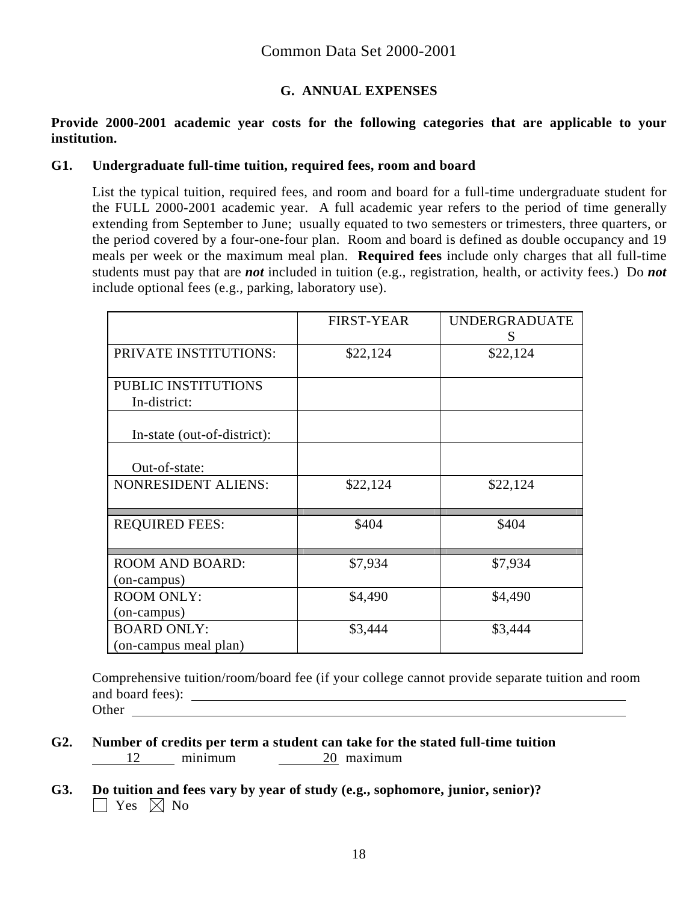# **G. ANNUAL EXPENSES**

#### **Provide 2000-2001 academic year costs for the following categories that are applicable to your institution.**

#### **G1. Undergraduate full-time tuition, required fees, room and board**

List the typical tuition, required fees, and room and board for a full-time undergraduate student for the FULL 2000-2001 academic year. A full academic year refers to the period of time generally extending from September to June; usually equated to two semesters or trimesters, three quarters, or the period covered by a four-one-four plan. Room and board is defined as double occupancy and 19 meals per week or the maximum meal plan. **Required fees** include only charges that all full-time students must pay that are *not* included in tuition (e.g., registration, health, or activity fees.) Do *not* include optional fees (e.g., parking, laboratory use).

|                             | <b>FIRST-YEAR</b> | <b>UNDERGRADUATE</b><br>S |
|-----------------------------|-------------------|---------------------------|
| PRIVATE INSTITUTIONS:       | \$22,124          | \$22,124                  |
| PUBLIC INSTITUTIONS         |                   |                           |
| In-district:                |                   |                           |
| In-state (out-of-district): |                   |                           |
| Out-of-state:               |                   |                           |
| <b>NONRESIDENT ALIENS:</b>  | \$22,124          | \$22,124                  |
| <b>REQUIRED FEES:</b>       | \$404             | \$404                     |
| <b>ROOM AND BOARD:</b>      | \$7,934           | \$7,934                   |
| (on-campus)                 |                   |                           |
| <b>ROOM ONLY:</b>           | \$4,490           | \$4,490                   |
| (on-campus)                 |                   |                           |
| <b>BOARD ONLY:</b>          | \$3,444           | \$3,444                   |
| (on-campus meal plan)       |                   |                           |

Comprehensive tuition/room/board fee (if your college cannot provide separate tuition and room and board fees): Other **Community** Community Community Community Community Community Community Community Community Community Community Community Community Community Community Community Community Community Community Community Community Comm

- **G2. Number of credits per term a student can take for the stated full-time tuition**  12 minimum <u>20</u> maximum
- **G3. Do tuition and fees vary by year of study (e.g., sophomore, junior, senior)?**   $\Box$  Yes  $\boxtimes$  No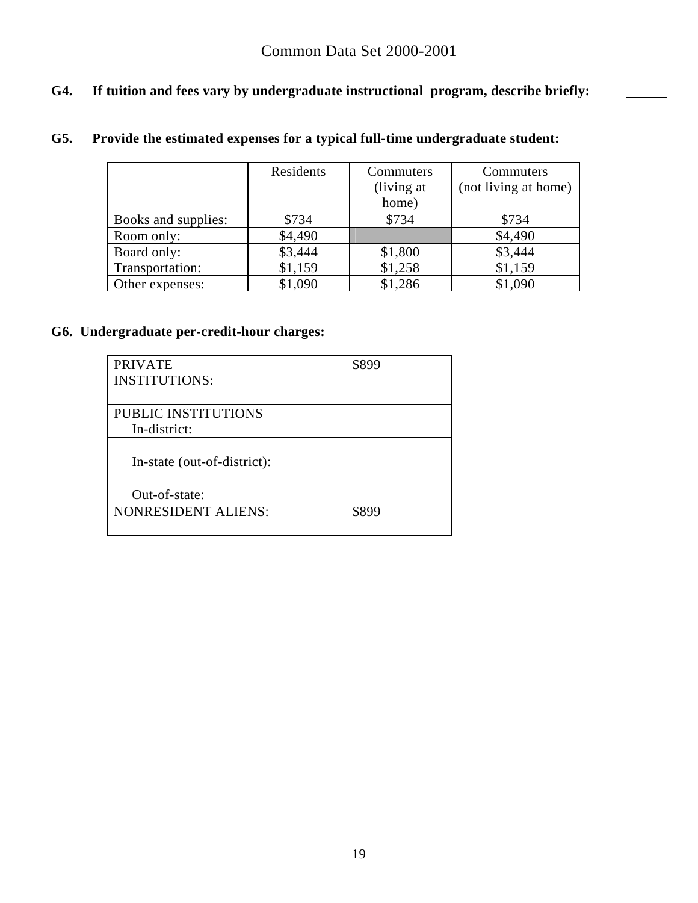# **G4. If tuition and fees vary by undergraduate instructional program, describe briefly:**

# **G5. Provide the estimated expenses for a typical full-time undergraduate student:**

|                     | Residents | Commuters   | Commuters            |
|---------------------|-----------|-------------|----------------------|
|                     |           | (living at) | (not living at home) |
|                     |           | home)       |                      |
| Books and supplies: | \$734     | \$734       | \$734                |
| Room only:          | \$4,490   |             | \$4,490              |
| Board only:         | \$3,444   | \$1,800     | \$3,444              |
| Transportation:     | \$1,159   | \$1,258     | \$1,159              |
| Other expenses:     | \$1,090   | \$1,286     | \$1,090              |

# **G6. Undergraduate per-credit-hour charges:**

 $\overline{a}$ 

| <b>PRIVATE</b>              | \$899 |
|-----------------------------|-------|
| <b>INSTITUTIONS:</b>        |       |
|                             |       |
| PUBLIC INSTITUTIONS         |       |
| In-district:                |       |
|                             |       |
| In-state (out-of-district): |       |
|                             |       |
| Out-of-state:               |       |
| <b>NONRESIDENT ALIENS:</b>  | \$899 |
|                             |       |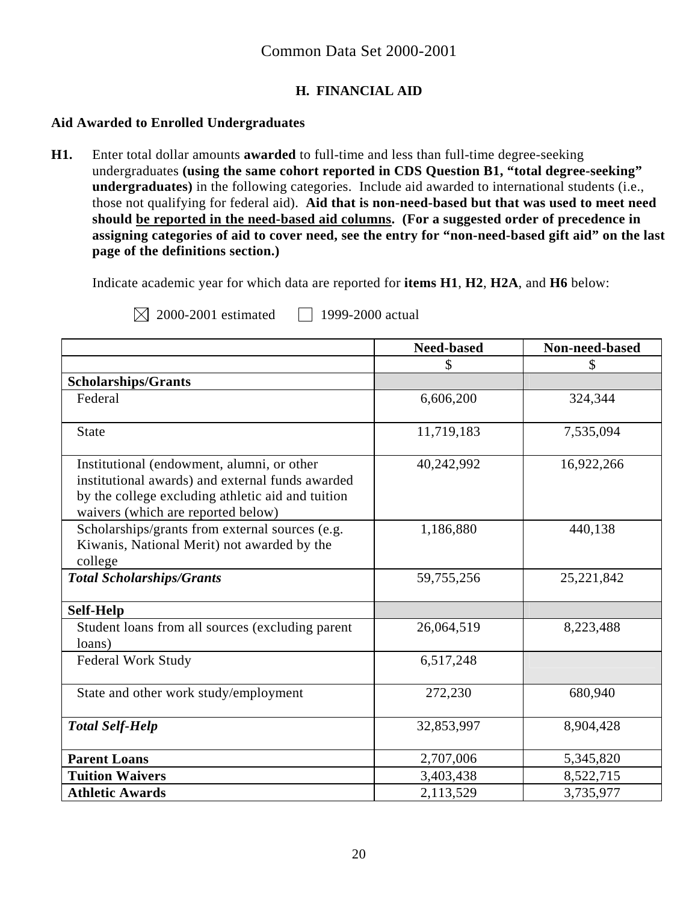# **H. FINANCIAL AID**

#### **Aid Awarded to Enrolled Undergraduates**

**H1.** Enter total dollar amounts **awarded** to full-time and less than full-time degree-seeking undergraduates **(using the same cohort reported in CDS Question B1, "total degree-seeking" undergraduates)** in the following categories. Include aid awarded to international students (i.e., those not qualifying for federal aid). **Aid that is non-need-based but that was used to meet need should be reported in the need-based aid columns. (For a suggested order of precedence in assigning categories of aid to cover need, see the entry for "non-need-based gift aid" on the last page of the definitions section.)** 

Indicate academic year for which data are reported for **items H1**, **H2**, **H2A**, and **H6** below:

 $\boxtimes$  2000-2001 estimated 1999-2000 actual

|                                                                                                                                                                                           | <b>Need-based</b> | Non-need-based |
|-------------------------------------------------------------------------------------------------------------------------------------------------------------------------------------------|-------------------|----------------|
|                                                                                                                                                                                           | \$                | S              |
| <b>Scholarships/Grants</b>                                                                                                                                                                |                   |                |
| Federal                                                                                                                                                                                   | 6,606,200         | 324,344        |
| <b>State</b>                                                                                                                                                                              | 11,719,183        | 7,535,094      |
| Institutional (endowment, alumni, or other<br>institutional awards) and external funds awarded<br>by the college excluding athletic aid and tuition<br>waivers (which are reported below) | 40,242,992        | 16,922,266     |
| Scholarships/grants from external sources (e.g.<br>Kiwanis, National Merit) not awarded by the<br>college                                                                                 | 1,186,880         | 440,138        |
| <b>Total Scholarships/Grants</b>                                                                                                                                                          | 59,755,256        | 25, 221, 842   |
| <b>Self-Help</b>                                                                                                                                                                          |                   |                |
| Student loans from all sources (excluding parent<br>loans)                                                                                                                                | 26,064,519        | 8,223,488      |
| <b>Federal Work Study</b>                                                                                                                                                                 | 6,517,248         |                |
| State and other work study/employment                                                                                                                                                     | 272,230           | 680,940        |
| <b>Total Self-Help</b>                                                                                                                                                                    | 32,853,997        | 8,904,428      |
| <b>Parent Loans</b>                                                                                                                                                                       | 2,707,006         | 5,345,820      |
| <b>Tuition Waivers</b>                                                                                                                                                                    | 3,403,438         | 8,522,715      |
| <b>Athletic Awards</b>                                                                                                                                                                    | 2,113,529         | 3,735,977      |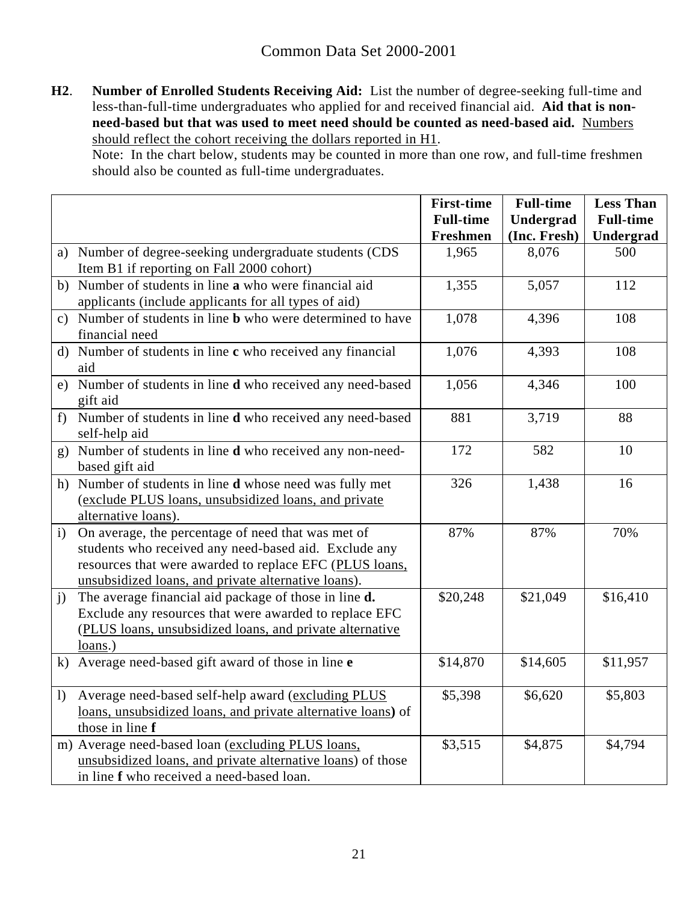**H2**. **Number of Enrolled Students Receiving Aid:** List the number of degree-seeking full-time and less-than-full-time undergraduates who applied for and received financial aid. **Aid that is nonneed-based but that was used to meet need should be counted as need-based aid.** Numbers should reflect the cohort receiving the dollars reported in H1.

Note: In the chart below, students may be counted in more than one row, and full-time freshmen should also be counted as full-time undergraduates.

|                  |                                                                           | <b>First-time</b> | <b>Full-time</b> | <b>Less Than</b> |
|------------------|---------------------------------------------------------------------------|-------------------|------------------|------------------|
|                  |                                                                           | <b>Full-time</b>  | Undergrad        | <b>Full-time</b> |
|                  |                                                                           | Freshmen          | (Inc. Fresh)     | Undergrad        |
|                  | a) Number of degree-seeking undergraduate students (CDS                   | 1,965             | 8,076            | 500              |
|                  | Item B1 if reporting on Fall 2000 cohort)                                 |                   |                  |                  |
|                  | b) Number of students in line a who were financial aid                    | 1,355             | 5,057            | 112              |
|                  | applicants (include applicants for all types of aid)                      |                   |                  |                  |
|                  | c) Number of students in line <b>b</b> who were determined to have        | 1,078             | 4,396            | 108              |
|                  | financial need                                                            |                   |                  |                  |
|                  | d) Number of students in line c who received any financial                | 1,076             | 4,393            | 108              |
|                  | aid                                                                       |                   |                  |                  |
|                  | e) Number of students in line <b>d</b> who received any need-based        | 1,056             | 4,346            | 100              |
|                  | gift aid                                                                  |                   |                  |                  |
| f                | Number of students in line d who received any need-based                  | 881               | 3,719            | 88               |
|                  | self-help aid                                                             |                   |                  |                  |
|                  | g) Number of students in line <b>d</b> who received any non-need-         | 172               | 582              | 10               |
|                  | based gift aid                                                            |                   |                  |                  |
|                  | h) Number of students in line <b>d</b> whose need was fully met           | 326               | 1,438            | 16               |
|                  | (exclude PLUS loans, unsubsidized loans, and private                      |                   |                  |                  |
| $\mathbf{i}$     | alternative loans).<br>On average, the percentage of need that was met of | 87%               | 87%              | 70%              |
|                  | students who received any need-based aid. Exclude any                     |                   |                  |                  |
|                  | resources that were awarded to replace EFC (PLUS loans,                   |                   |                  |                  |
|                  | unsubsidized loans, and private alternative loans).                       |                   |                  |                  |
| $\mathbf{j}$     | The average financial aid package of those in line d.                     | \$20,248          | \$21,049         | \$16,410         |
|                  | Exclude any resources that were awarded to replace EFC                    |                   |                  |                  |
|                  | (PLUS loans, unsubsidized loans, and private alternative                  |                   |                  |                  |
|                  | $loans.$ )                                                                |                   |                  |                  |
|                  | k) Average need-based gift award of those in line e                       | \$14,870          | \$14,605         | \$11,957         |
|                  |                                                                           |                   |                  |                  |
| $\left  \right $ | Average need-based self-help award (excluding PLUS                        | \$5,398           | \$6,620          | \$5,803          |
|                  | loans, unsubsidized loans, and private alternative loans) of              |                   |                  |                  |
|                  | those in line f                                                           |                   |                  |                  |
|                  | m) Average need-based loan (excluding PLUS loans,                         | \$3,515           | \$4,875          | \$4,794          |
|                  | unsubsidized loans, and private alternative loans) of those               |                   |                  |                  |
|                  | in line f who received a need-based loan.                                 |                   |                  |                  |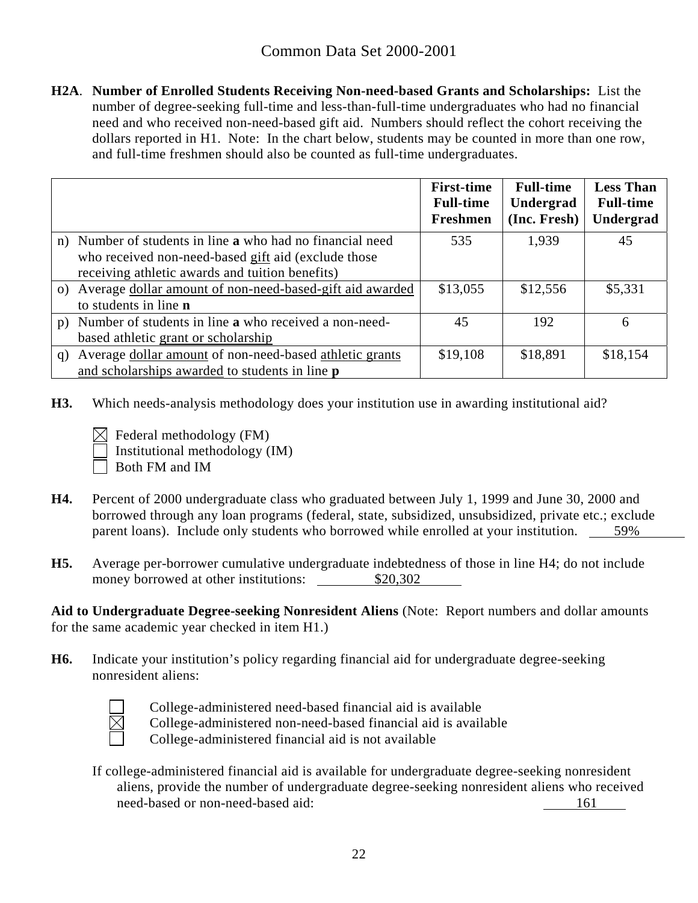**H2A**. **Number of Enrolled Students Receiving Non-need-based Grants and Scholarships:** List the number of degree-seeking full-time and less-than-full-time undergraduates who had no financial need and who received non-need-based gift aid. Numbers should reflect the cohort receiving the dollars reported in H1. Note: In the chart below, students may be counted in more than one row, and full-time freshmen should also be counted as full-time undergraduates.

|                                                               | <b>First-time</b><br><b>Full-time</b><br><b>Freshmen</b> | <b>Full-time</b><br>Undergrad<br>(Inc. Fresh) | <b>Less Than</b><br><b>Full-time</b><br>Undergrad |
|---------------------------------------------------------------|----------------------------------------------------------|-----------------------------------------------|---------------------------------------------------|
| n) Number of students in line a who had no financial need     | 535                                                      | 1,939                                         | 45                                                |
| who received non-need-based gift aid (exclude those           |                                                          |                                               |                                                   |
| receiving athletic awards and tuition benefits)               |                                                          |                                               |                                                   |
| o) Average dollar amount of non-need-based-gift aid awarded   | \$13,055                                                 | \$12,556                                      | \$5,331                                           |
| to students in line <b>n</b>                                  |                                                          |                                               |                                                   |
| Number of students in line a who received a non-need-<br>p)   | 45                                                       | 192                                           | 6                                                 |
| based athletic grant or scholarship                           |                                                          |                                               |                                                   |
| Average dollar amount of non-need-based athletic grants<br>q) | \$19,108                                                 | \$18,891                                      | \$18,154                                          |
| and scholarships awarded to students in line <b>p</b>         |                                                          |                                               |                                                   |

- **H3.** Which needs-analysis methodology does your institution use in awarding institutional aid?
	- $\boxtimes$  Federal methodology (FM) Institutional methodology (IM)

Both FM and IM

- **H4.** Percent of 2000 undergraduate class who graduated between July 1, 1999 and June 30, 2000 and borrowed through any loan programs (federal, state, subsidized, unsubsidized, private etc.; exclude parent loans). Include only students who borrowed while enrolled at your institution. 59%
- **H5.** Average per-borrower cumulative undergraduate indebtedness of those in line H4; do not include money borrowed at other institutions:  $$20,302$

**Aid to Undergraduate Degree-seeking Nonresident Aliens** (Note: Report numbers and dollar amounts for the same academic year checked in item H1.)

**H6.** Indicate your institution's policy regarding financial aid for undergraduate degree-seeking nonresident aliens:



College-administered need-based financial aid is available College-administered non-need-based financial aid is available

College-administered financial aid is not available

If college-administered financial aid is available for undergraduate degree-seeking nonresident aliens, provide the number of undergraduate degree-seeking nonresident aliens who received need-based or non-need-based aid: 161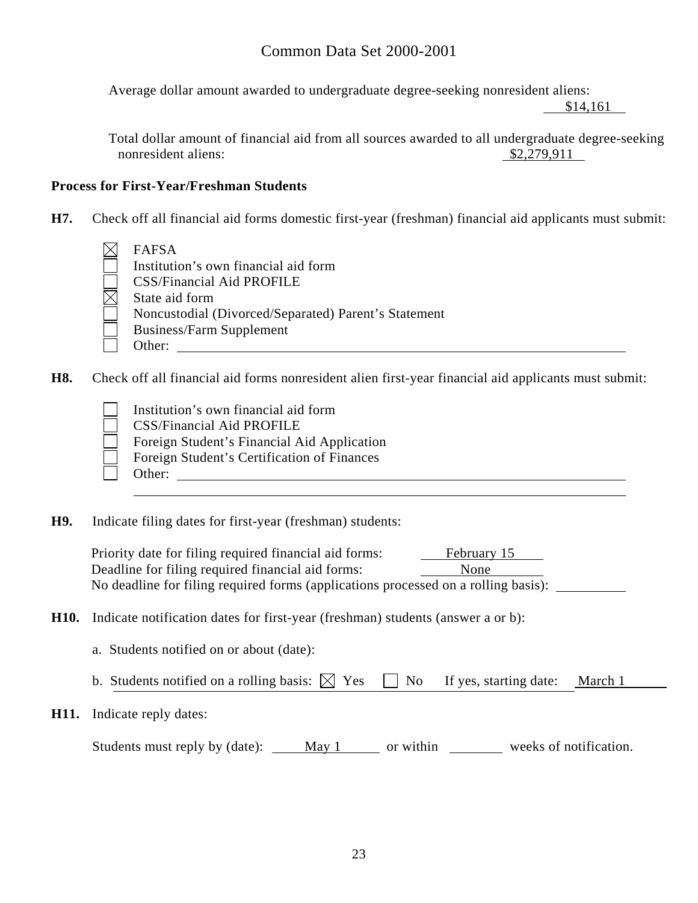Average dollar amount awarded to undergraduate degree-seeking nonresident aliens:

\$14,161

Total dollar amount of financial aid from all sources awarded to all undergraduate degree-seeking nonresident aliens:  $$2,279,911$ 

#### **Process for First-Year/Freshman Students**

- **H7.** Check off all financial aid forms domestic first-year (freshman) financial aid applicants must submit:
	- FAFSA
		- Institution's own financial aid form CSS/Financial Aid PROFILE State aid form Noncustodial (Divorced/Separated) Parent's Statement Business/Farm Supplement Other:
- **H8.** Check off all financial aid forms nonresident alien first-year financial aid applicants must submit:
	- - Institution's own financial aid form CSS/Financial Aid PROFILE Foreign Student's Financial Aid Application Foreign Student's Certification of Finances Other:
- **H9.** Indicate filing dates for first-year (freshman) students:

Priority date for filing required financial aid forms: February 15 Deadline for filing required financial aid forms: None No deadline for filing required forms (applications processed on a rolling basis):

- **H10.** Indicate notification dates for first-year (freshman) students (answer a or b):
	- a. Students notified on or about (date):
	- b. Students notified on a rolling basis:  $\boxtimes$  Yes  $\Box$  No If yes, starting date: March 1
- **H11.** Indicate reply dates:

| Students must reply by (date): | May 1 | or within | weeks of notification. |
|--------------------------------|-------|-----------|------------------------|
|--------------------------------|-------|-----------|------------------------|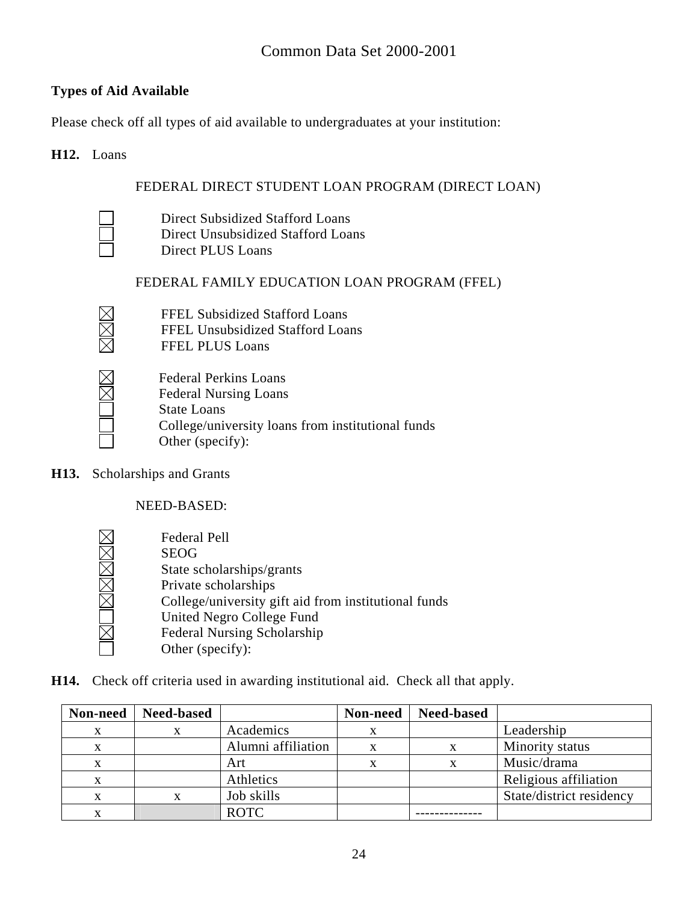# **Types of Aid Available**

Please check off all types of aid available to undergraduates at your institution:

#### **H12.** Loans

### FEDERAL DIRECT STUDENT LOAN PROGRAM (DIRECT LOAN)

 Direct Subsidized Stafford Loans Direct Unsubsidized Stafford Loans Direct PLUS Loans

# FEDERAL FAMILY EDUCATION LOAN PROGRAM (FFEL)

 FFEL Subsidized Stafford Loans FFEL Unsubsidized Stafford Loans FFEL PLUS Loans



Federal Perkins Loans Federal Nursing Loans State Loans College/university loans from institutional funds Other (specify):

**H13.** Scholarships and Grants

NEED-BASED:

<u>IMOMMAN</u> Federal Pell SEOG State scholarships/grants Private scholarships College/university gift aid from institutional funds United Negro College Fund Federal Nursing Scholarship Other (specify):

**H14.** Check off criteria used in awarding institutional aid. Check all that apply.

| Non-need | <b>Need-based</b> |                    | Non-need | <b>Need-based</b> |                          |
|----------|-------------------|--------------------|----------|-------------------|--------------------------|
| X        |                   | Academics          |          |                   | Leadership               |
| X        |                   | Alumni affiliation |          |                   | Minority status          |
| X        |                   | Art                |          |                   | Music/drama              |
| X        |                   | Athletics          |          |                   | Religious affiliation    |
| X        |                   | Job skills         |          |                   | State/district residency |
| л        |                   | <b>ROTC</b>        |          |                   |                          |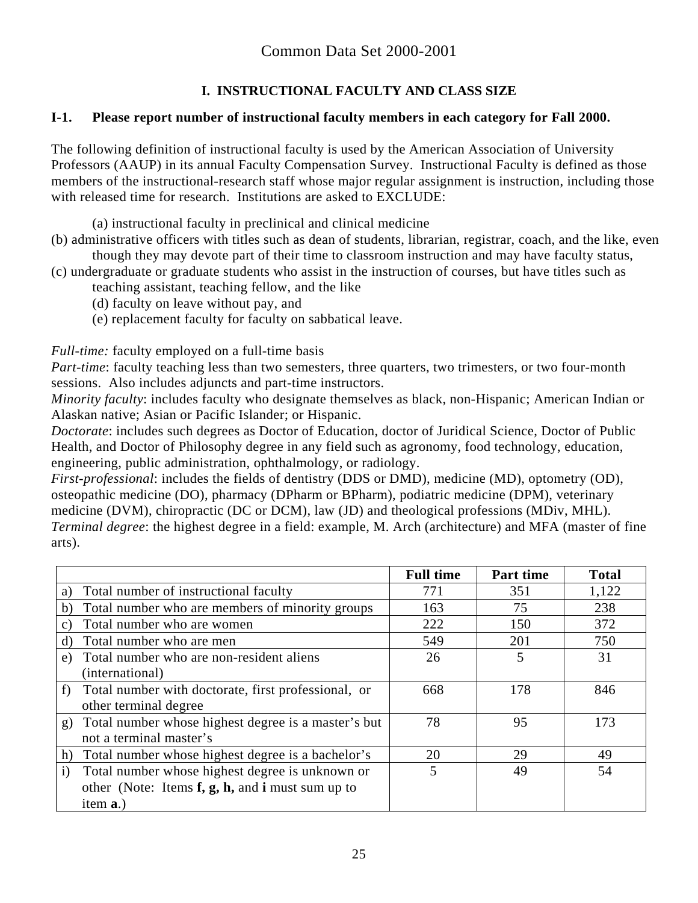# **I. INSTRUCTIONAL FACULTY AND CLASS SIZE**

# **I-1. Please report number of instructional faculty members in each category for Fall 2000.**

The following definition of instructional faculty is used by the American Association of University Professors (AAUP) in its annual Faculty Compensation Survey. Instructional Faculty is defined as those members of the instructional-research staff whose major regular assignment is instruction, including those with released time for research. Institutions are asked to EXCLUDE:

(a) instructional faculty in preclinical and clinical medicine

- (b) administrative officers with titles such as dean of students, librarian, registrar, coach, and the like, even though they may devote part of their time to classroom instruction and may have faculty status,
- (c) undergraduate or graduate students who assist in the instruction of courses, but have titles such as teaching assistant, teaching fellow, and the like
	- (d) faculty on leave without pay, and
	- (e) replacement faculty for faculty on sabbatical leave.

*Full-time:* faculty employed on a full-time basis

*Part-time*: faculty teaching less than two semesters, three quarters, two trimesters, or two four-month sessions. Also includes adjuncts and part-time instructors.

*Minority faculty*: includes faculty who designate themselves as black, non-Hispanic; American Indian or Alaskan native; Asian or Pacific Islander; or Hispanic.

*Doctorate*: includes such degrees as Doctor of Education, doctor of Juridical Science, Doctor of Public Health, and Doctor of Philosophy degree in any field such as agronomy, food technology, education, engineering, public administration, ophthalmology, or radiology.

*First-professional*: includes the fields of dentistry (DDS or DMD), medicine (MD), optometry (OD), osteopathic medicine (DO), pharmacy (DPharm or BPharm), podiatric medicine (DPM), veterinary medicine (DVM), chiropractic (DC or DCM), law (JD) and theological professions (MDiv, MHL). *Terminal degree*: the highest degree in a field: example, M. Arch (architecture) and MFA (master of fine arts).

|                                                |                                                             | <b>Full time</b> | Part time | <b>Total</b> |
|------------------------------------------------|-------------------------------------------------------------|------------------|-----------|--------------|
| Total number of instructional faculty<br>a)    |                                                             | 771              | 351       | 1,122        |
| b)                                             | Total number who are members of minority groups             | 163              | 75        | 238          |
| Total number who are women<br>C)               |                                                             | 222              | 150       | 372          |
| Total number who are men<br>d)                 |                                                             | 549              | 201       | 750          |
| Total number who are non-resident aliens<br>e) |                                                             | 26               | 5         | 31           |
| (international)                                |                                                             |                  |           |              |
| f                                              | Total number with doctorate, first professional, or         | 668              | 178       | 846          |
| other terminal degree                          |                                                             |                  |           |              |
| g)                                             | Total number whose highest degree is a master's but         | 78               | 95        | 173          |
| not a terminal master's                        |                                                             |                  |           |              |
| h)                                             | Total number whose highest degree is a bachelor's           | 20               | 29        | 49           |
| $\mathbf{i}$                                   | Total number whose highest degree is unknown or             | 5                | 49        | 54           |
|                                                | other (Note: Items $f$ , $g$ , $h$ , and $i$ must sum up to |                  |           |              |
| item <b>a</b> .)                               |                                                             |                  |           |              |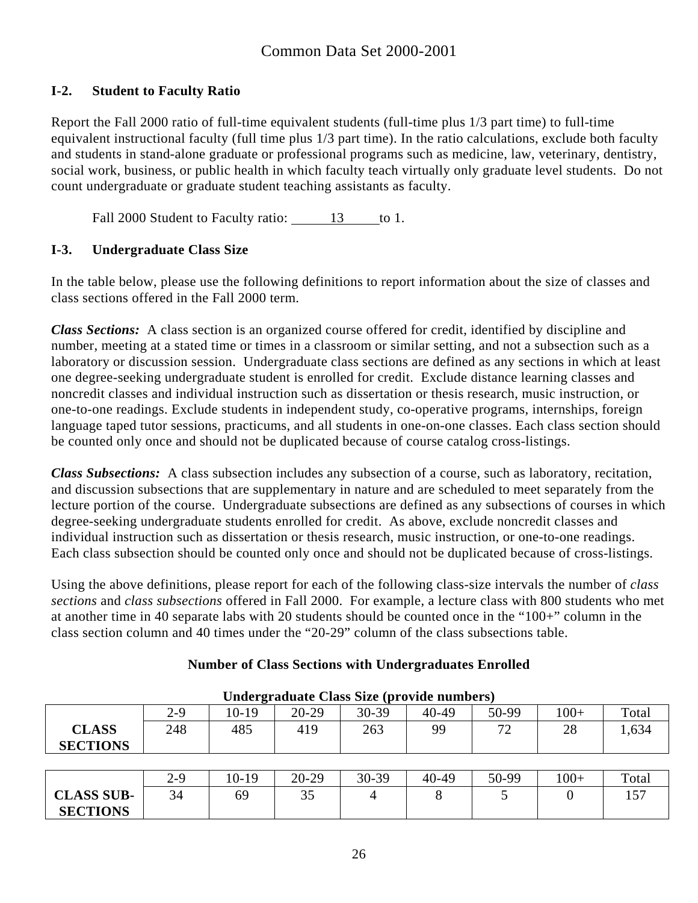# **I-2. Student to Faculty Ratio**

Report the Fall 2000 ratio of full-time equivalent students (full-time plus 1/3 part time) to full-time equivalent instructional faculty (full time plus 1/3 part time). In the ratio calculations, exclude both faculty and students in stand-alone graduate or professional programs such as medicine, law, veterinary, dentistry, social work, business, or public health in which faculty teach virtually only graduate level students. Do not count undergraduate or graduate student teaching assistants as faculty.

Fall 2000 Student to Faculty ratio: 13 to 1.

# **I-3. Undergraduate Class Size**

In the table below, please use the following definitions to report information about the size of classes and class sections offered in the Fall 2000 term.

*Class Sections:* A class section is an organized course offered for credit, identified by discipline and number, meeting at a stated time or times in a classroom or similar setting, and not a subsection such as a laboratory or discussion session. Undergraduate class sections are defined as any sections in which at least one degree-seeking undergraduate student is enrolled for credit. Exclude distance learning classes and noncredit classes and individual instruction such as dissertation or thesis research, music instruction, or one-to-one readings. Exclude students in independent study, co-operative programs, internships, foreign language taped tutor sessions, practicums, and all students in one-on-one classes. Each class section should be counted only once and should not be duplicated because of course catalog cross-listings.

*Class Subsections:* A class subsection includes any subsection of a course, such as laboratory, recitation, and discussion subsections that are supplementary in nature and are scheduled to meet separately from the lecture portion of the course. Undergraduate subsections are defined as any subsections of courses in which degree-seeking undergraduate students enrolled for credit. As above, exclude noncredit classes and individual instruction such as dissertation or thesis research, music instruction, or one-to-one readings. Each class subsection should be counted only once and should not be duplicated because of cross-listings.

Using the above definitions, please report for each of the following class-size intervals the number of *class sections* and *class subsections* offered in Fall 2000. For example, a lecture class with 800 students who met at another time in 40 separate labs with 20 students should be counted once in the "100+" column in the class section column and 40 times under the "20-29" column of the class subsections table.

| Undergraduate Class Size (provide numbers) |         |         |           |           |       |       |       |       |
|--------------------------------------------|---------|---------|-----------|-----------|-------|-------|-------|-------|
|                                            | $2 - 9$ | $10-19$ | $20 - 29$ | $30 - 39$ | 40-49 | 50-99 | $00+$ | Total |
| <b>CLASS</b>                               | 248     | 485     | 419       | 263       | 99    | 70    | 28    | 1,634 |
| <b>SECTIONS</b>                            |         |         |           |           |       |       |       |       |
|                                            |         |         |           |           |       |       |       |       |

# **Number of Class Sections with Undergraduates Enrolled**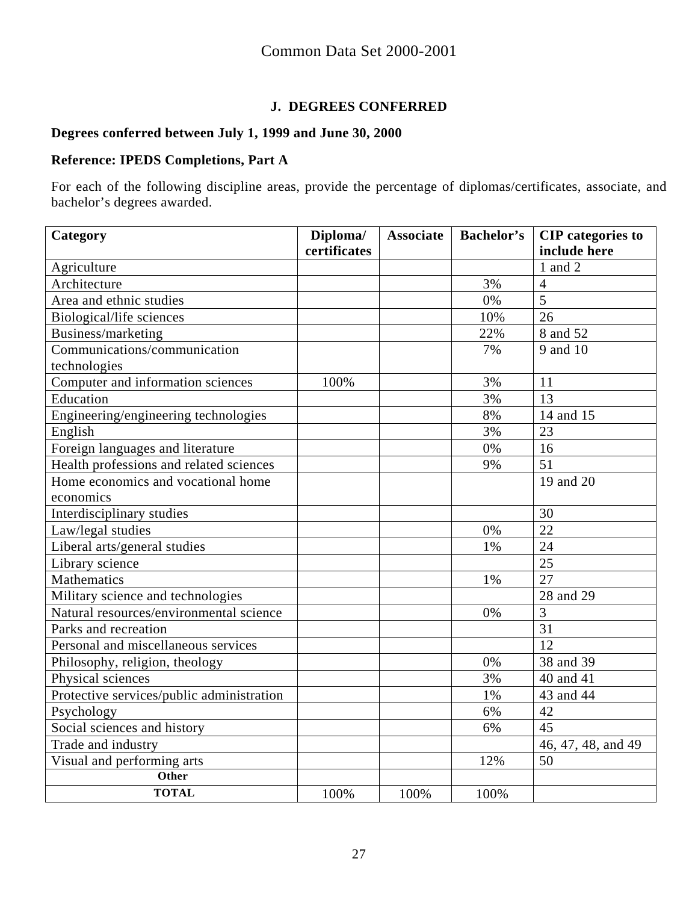# **J. DEGREES CONFERRED**

#### **Degrees conferred between July 1, 1999 and June 30, 2000**

# **Reference: IPEDS Completions, Part A**

For each of the following discipline areas, provide the percentage of diplomas/certificates, associate, and bachelor's degrees awarded.

| Category                                  | Diploma/     | <b>Associate</b> | <b>Bachelor's</b> | <b>CIP</b> categories to |
|-------------------------------------------|--------------|------------------|-------------------|--------------------------|
|                                           | certificates |                  |                   | include here             |
| Agriculture                               |              |                  |                   | 1 and 2                  |
| Architecture                              |              |                  | 3%                | $\overline{4}$           |
| Area and ethnic studies                   |              |                  | 0%                | 5                        |
| Biological/life sciences                  |              |                  | 10%               | 26                       |
| Business/marketing                        |              |                  | 22%               | 8 and 52                 |
| Communications/communication              |              |                  | 7%                | 9 and 10                 |
| technologies                              |              |                  |                   |                          |
| Computer and information sciences         | 100%         |                  | 3%                | 11                       |
| Education                                 |              |                  | 3%                | 13                       |
| Engineering/engineering technologies      |              |                  | 8%                | 14 and 15                |
| English                                   |              |                  | 3%                | 23                       |
| Foreign languages and literature          |              |                  | 0%                | 16                       |
| Health professions and related sciences   |              |                  | 9%                | 51                       |
| Home economics and vocational home        |              |                  |                   | 19 and 20                |
| economics                                 |              |                  |                   |                          |
| Interdisciplinary studies                 |              |                  |                   | 30                       |
| Law/legal studies                         |              |                  | 0%                | 22                       |
| Liberal arts/general studies              |              |                  | 1%                | 24                       |
| Library science                           |              |                  |                   | 25                       |
| <b>Mathematics</b>                        |              |                  | 1%                | $\overline{27}$          |
| Military science and technologies         |              |                  |                   | 28 and 29                |
| Natural resources/environmental science   |              |                  | 0%                | 3                        |
| Parks and recreation                      |              |                  |                   | 31                       |
| Personal and miscellaneous services       |              |                  |                   | 12                       |
| Philosophy, religion, theology            |              |                  | 0%                | 38 and 39                |
| Physical sciences                         |              |                  | 3%                | 40 and 41                |
| Protective services/public administration |              |                  | $1\%$             | 43 and 44                |
| Psychology                                |              |                  | 6%                | 42                       |
| Social sciences and history               |              |                  | 6%                | 45                       |
| Trade and industry                        |              |                  |                   | 46, 47, 48, and 49       |
| Visual and performing arts                |              |                  | 12%               | 50                       |
| Other                                     |              |                  |                   |                          |
| <b>TOTAL</b>                              | 100%         | 100%             | 100%              |                          |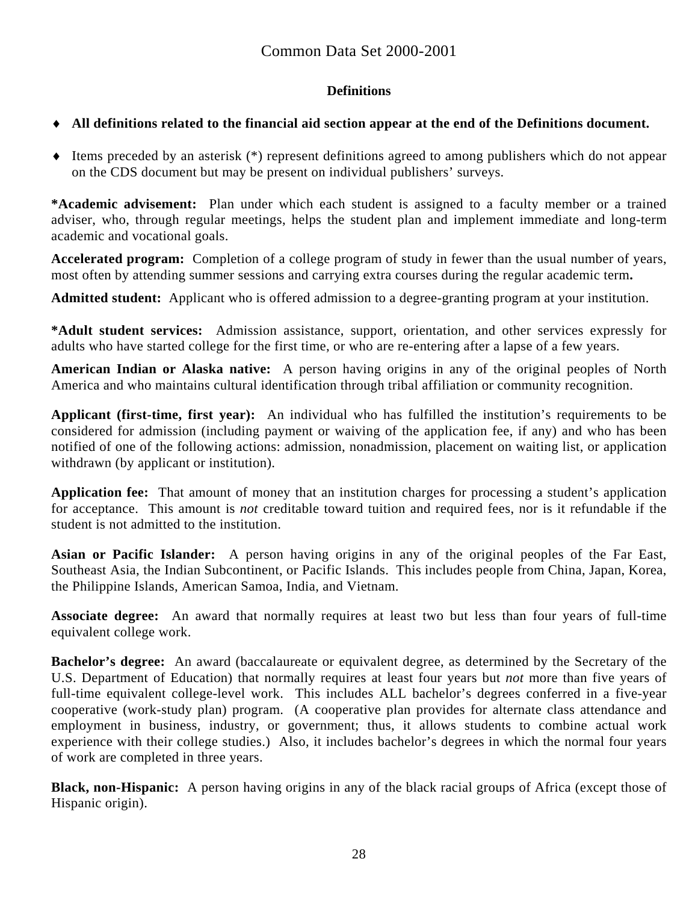# **Definitions**

# ♦ **All definitions related to the financial aid section appear at the end of the Definitions document.**

♦ Items preceded by an asterisk (\*) represent definitions agreed to among publishers which do not appear on the CDS document but may be present on individual publishers' surveys.

**\*Academic advisement:** Plan under which each student is assigned to a faculty member or a trained adviser, who, through regular meetings, helps the student plan and implement immediate and long-term academic and vocational goals.

**Accelerated program:** Completion of a college program of study in fewer than the usual number of years, most often by attending summer sessions and carrying extra courses during the regular academic term**.** 

**Admitted student:** Applicant who is offered admission to a degree-granting program at your institution.

**\*Adult student services:** Admission assistance, support, orientation, and other services expressly for adults who have started college for the first time, or who are re-entering after a lapse of a few years.

**American Indian or Alaska native:** A person having origins in any of the original peoples of North America and who maintains cultural identification through tribal affiliation or community recognition.

**Applicant (first-time, first year):** An individual who has fulfilled the institution's requirements to be considered for admission (including payment or waiving of the application fee, if any) and who has been notified of one of the following actions: admission, nonadmission, placement on waiting list, or application withdrawn (by applicant or institution).

**Application fee:** That amount of money that an institution charges for processing a student's application for acceptance. This amount is *not* creditable toward tuition and required fees, nor is it refundable if the student is not admitted to the institution.

**Asian or Pacific Islander:** A person having origins in any of the original peoples of the Far East, Southeast Asia, the Indian Subcontinent, or Pacific Islands. This includes people from China, Japan, Korea, the Philippine Islands, American Samoa, India, and Vietnam.

**Associate degree:** An award that normally requires at least two but less than four years of full-time equivalent college work.

**Bachelor's degree:** An award (baccalaureate or equivalent degree, as determined by the Secretary of the U.S. Department of Education) that normally requires at least four years but *not* more than five years of full-time equivalent college-level work. This includes ALL bachelor's degrees conferred in a five-year cooperative (work-study plan) program. (A cooperative plan provides for alternate class attendance and employment in business, industry, or government; thus, it allows students to combine actual work experience with their college studies.) Also, it includes bachelor's degrees in which the normal four years of work are completed in three years.

**Black, non-Hispanic:** A person having origins in any of the black racial groups of Africa (except those of Hispanic origin).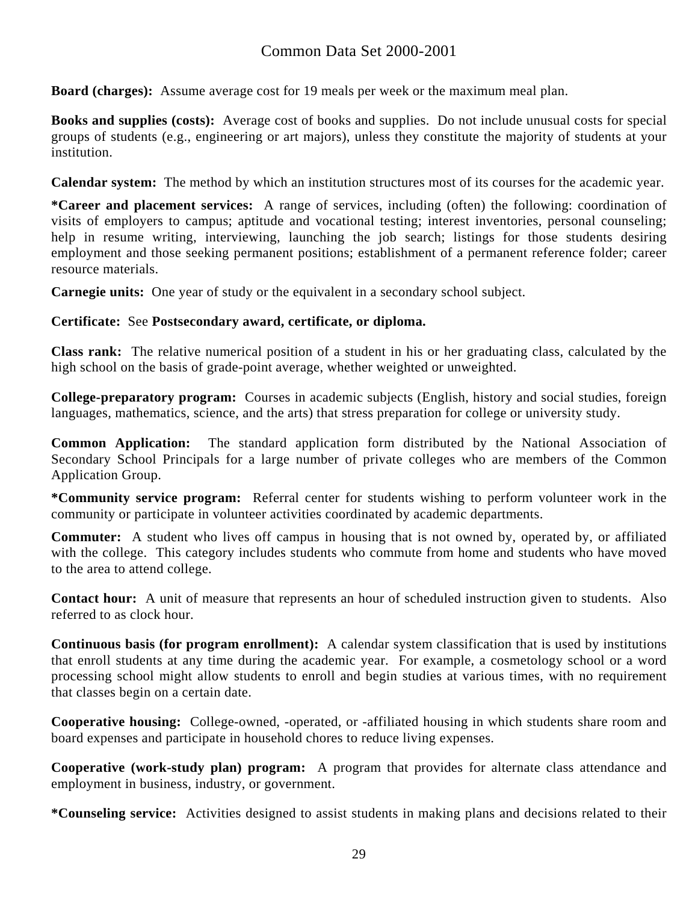# Common Data Set 2000-2001

**Board (charges):** Assume average cost for 19 meals per week or the maximum meal plan.

**Books and supplies (costs):** Average cost of books and supplies. Do not include unusual costs for special groups of students (e.g., engineering or art majors), unless they constitute the majority of students at your institution.

**Calendar system:** The method by which an institution structures most of its courses for the academic year.

**\*Career and placement services:** A range of services, including (often) the following: coordination of visits of employers to campus; aptitude and vocational testing; interest inventories, personal counseling; help in resume writing, interviewing, launching the job search; listings for those students desiring employment and those seeking permanent positions; establishment of a permanent reference folder; career resource materials.

**Carnegie units:** One year of study or the equivalent in a secondary school subject.

# **Certificate:** See **Postsecondary award, certificate, or diploma.**

**Class rank:** The relative numerical position of a student in his or her graduating class, calculated by the high school on the basis of grade-point average, whether weighted or unweighted.

**College-preparatory program:** Courses in academic subjects (English, history and social studies, foreign languages, mathematics, science, and the arts) that stress preparation for college or university study.

**Common Application:** The standard application form distributed by the National Association of Secondary School Principals for a large number of private colleges who are members of the Common Application Group.

**\*Community service program:** Referral center for students wishing to perform volunteer work in the community or participate in volunteer activities coordinated by academic departments.

**Commuter:** A student who lives off campus in housing that is not owned by, operated by, or affiliated with the college. This category includes students who commute from home and students who have moved to the area to attend college.

**Contact hour:** A unit of measure that represents an hour of scheduled instruction given to students. Also referred to as clock hour.

**Continuous basis (for program enrollment):** A calendar system classification that is used by institutions that enroll students at any time during the academic year. For example, a cosmetology school or a word processing school might allow students to enroll and begin studies at various times, with no requirement that classes begin on a certain date.

**Cooperative housing:** College-owned, -operated, or -affiliated housing in which students share room and board expenses and participate in household chores to reduce living expenses.

**Cooperative (work-study plan) program:** A program that provides for alternate class attendance and employment in business, industry, or government.

**\*Counseling service:** Activities designed to assist students in making plans and decisions related to their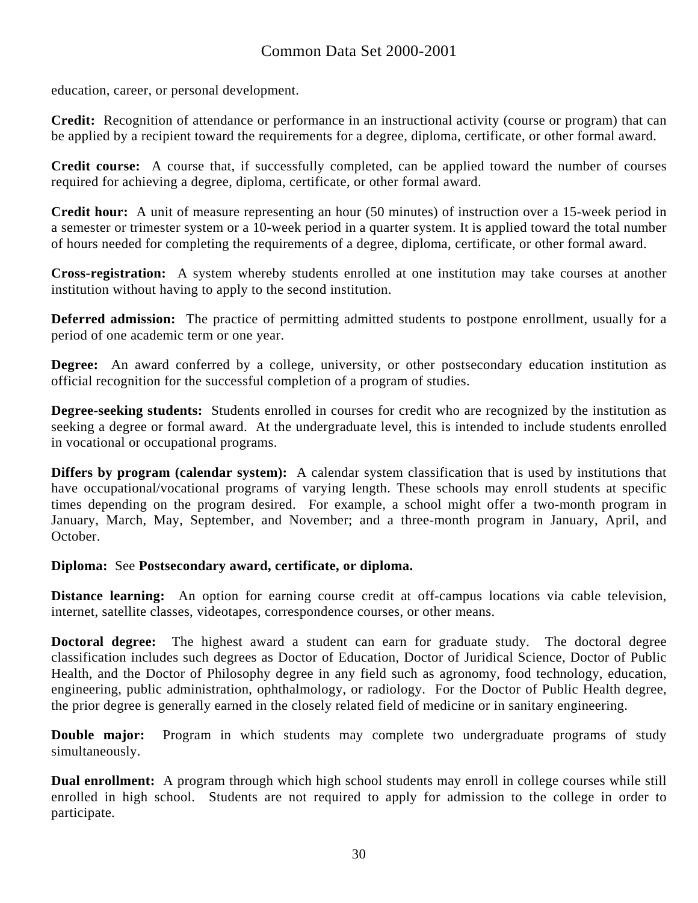education, career, or personal development.

**Credit:** Recognition of attendance or performance in an instructional activity (course or program) that can be applied by a recipient toward the requirements for a degree, diploma, certificate, or other formal award.

**Credit course:** A course that, if successfully completed, can be applied toward the number of courses required for achieving a degree, diploma, certificate, or other formal award.

**Credit hour:** A unit of measure representing an hour (50 minutes) of instruction over a 15-week period in a semester or trimester system or a 10-week period in a quarter system. It is applied toward the total number of hours needed for completing the requirements of a degree, diploma, certificate, or other formal award.

**Cross-registration:** A system whereby students enrolled at one institution may take courses at another institution without having to apply to the second institution.

**Deferred admission:** The practice of permitting admitted students to postpone enrollment, usually for a period of one academic term or one year.

**Degree:** An award conferred by a college, university, or other postsecondary education institution as official recognition for the successful completion of a program of studies.

**Degree-seeking students:** Students enrolled in courses for credit who are recognized by the institution as seeking a degree or formal award. At the undergraduate level, this is intended to include students enrolled in vocational or occupational programs.

**Differs by program (calendar system):** A calendar system classification that is used by institutions that have occupational/vocational programs of varying length. These schools may enroll students at specific times depending on the program desired. For example, a school might offer a two-month program in January, March, May, September, and November; and a three-month program in January, April, and October.

#### **Diploma:** See **Postsecondary award, certificate, or diploma.**

**Distance learning:** An option for earning course credit at off-campus locations via cable television, internet, satellite classes, videotapes, correspondence courses, or other means.

**Doctoral degree:** The highest award a student can earn for graduate study. The doctoral degree classification includes such degrees as Doctor of Education, Doctor of Juridical Science, Doctor of Public Health, and the Doctor of Philosophy degree in any field such as agronomy, food technology, education, engineering, public administration, ophthalmology, or radiology. For the Doctor of Public Health degree, the prior degree is generally earned in the closely related field of medicine or in sanitary engineering.

**Double major:** Program in which students may complete two undergraduate programs of study simultaneously.

**Dual enrollment:** A program through which high school students may enroll in college courses while still enrolled in high school. Students are not required to apply for admission to the college in order to participate.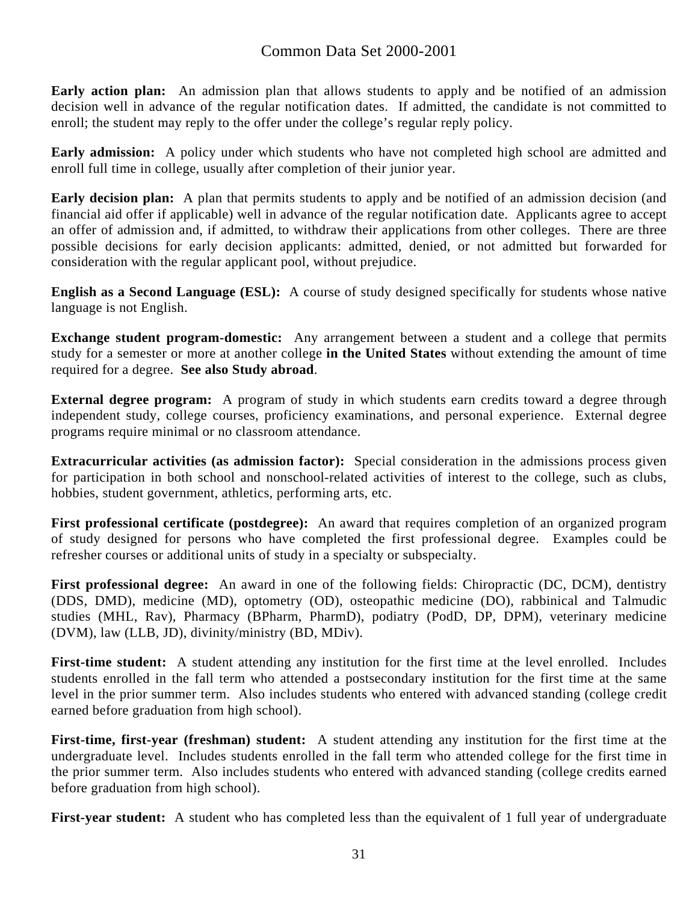**Early action plan:** An admission plan that allows students to apply and be notified of an admission decision well in advance of the regular notification dates. If admitted, the candidate is not committed to enroll; the student may reply to the offer under the college's regular reply policy.

**Early admission:** A policy under which students who have not completed high school are admitted and enroll full time in college, usually after completion of their junior year.

**Early decision plan:** A plan that permits students to apply and be notified of an admission decision (and financial aid offer if applicable) well in advance of the regular notification date. Applicants agree to accept an offer of admission and, if admitted, to withdraw their applications from other colleges. There are three possible decisions for early decision applicants: admitted, denied, or not admitted but forwarded for consideration with the regular applicant pool, without prejudice.

**English as a Second Language (ESL):** A course of study designed specifically for students whose native language is not English.

**Exchange student program-domestic:** Any arrangement between a student and a college that permits study for a semester or more at another college **in the United States** without extending the amount of time required for a degree. **See also Study abroad**.

**External degree program:** A program of study in which students earn credits toward a degree through independent study, college courses, proficiency examinations, and personal experience. External degree programs require minimal or no classroom attendance.

**Extracurricular activities (as admission factor):** Special consideration in the admissions process given for participation in both school and nonschool-related activities of interest to the college, such as clubs, hobbies, student government, athletics, performing arts, etc.

**First professional certificate (postdegree):** An award that requires completion of an organized program of study designed for persons who have completed the first professional degree. Examples could be refresher courses or additional units of study in a specialty or subspecialty.

**First professional degree:** An award in one of the following fields: Chiropractic (DC, DCM), dentistry (DDS, DMD), medicine (MD), optometry (OD), osteopathic medicine (DO), rabbinical and Talmudic studies (MHL, Rav), Pharmacy (BPharm, PharmD), podiatry (PodD, DP, DPM), veterinary medicine (DVM), law (LLB, JD), divinity/ministry (BD, MDiv).

**First-time student:** A student attending any institution for the first time at the level enrolled. Includes students enrolled in the fall term who attended a postsecondary institution for the first time at the same level in the prior summer term. Also includes students who entered with advanced standing (college credit earned before graduation from high school).

**First-time, first-year (freshman) student:** A student attending any institution for the first time at the undergraduate level. Includes students enrolled in the fall term who attended college for the first time in the prior summer term. Also includes students who entered with advanced standing (college credits earned before graduation from high school).

**First-year student:** A student who has completed less than the equivalent of 1 full year of undergraduate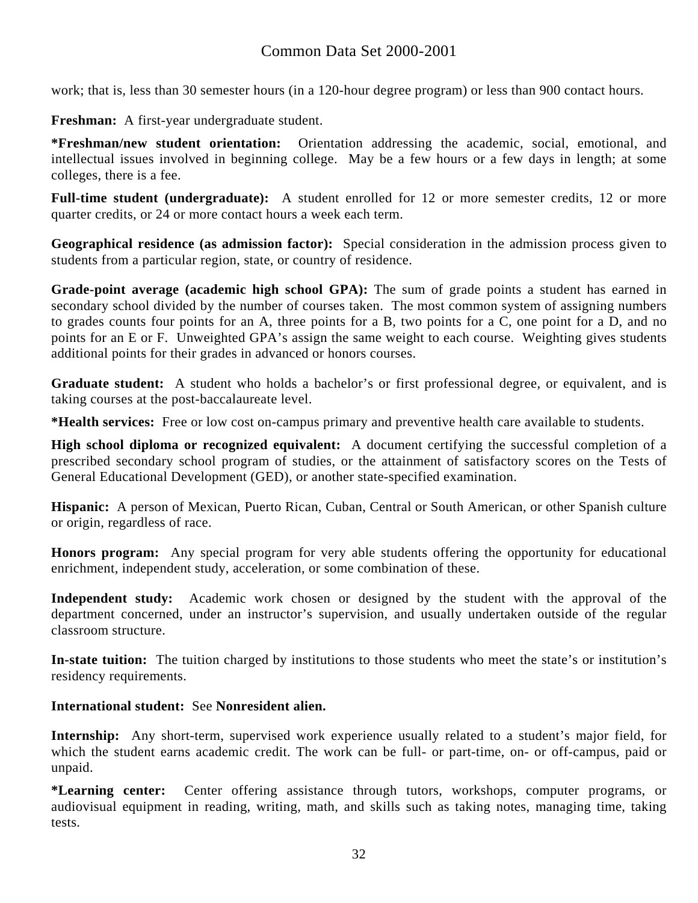# Common Data Set 2000-2001

work; that is, less than 30 semester hours (in a 120-hour degree program) or less than 900 contact hours.

**Freshman:** A first-year undergraduate student.

**\*Freshman/new student orientation:** Orientation addressing the academic, social, emotional, and intellectual issues involved in beginning college. May be a few hours or a few days in length; at some colleges, there is a fee.

Full-time student (undergraduate): A student enrolled for 12 or more semester credits, 12 or more quarter credits, or 24 or more contact hours a week each term.

**Geographical residence (as admission factor):** Special consideration in the admission process given to students from a particular region, state, or country of residence.

**Grade-point average (academic high school GPA):** The sum of grade points a student has earned in secondary school divided by the number of courses taken. The most common system of assigning numbers to grades counts four points for an A, three points for a B, two points for a C, one point for a D, and no points for an E or F. Unweighted GPA's assign the same weight to each course. Weighting gives students additional points for their grades in advanced or honors courses.

**Graduate student:** A student who holds a bachelor's or first professional degree, or equivalent, and is taking courses at the post-baccalaureate level.

**\*Health services:** Free or low cost on-campus primary and preventive health care available to students.

**High school diploma or recognized equivalent:** A document certifying the successful completion of a prescribed secondary school program of studies, or the attainment of satisfactory scores on the Tests of General Educational Development (GED), or another state-specified examination.

**Hispanic:** A person of Mexican, Puerto Rican, Cuban, Central or South American, or other Spanish culture or origin, regardless of race.

**Honors program:** Any special program for very able students offering the opportunity for educational enrichment, independent study, acceleration, or some combination of these.

**Independent study:** Academic work chosen or designed by the student with the approval of the department concerned, under an instructor's supervision, and usually undertaken outside of the regular classroom structure.

**In-state tuition:** The tuition charged by institutions to those students who meet the state's or institution's residency requirements.

**International student:** See **Nonresident alien.** 

**Internship:** Any short-term, supervised work experience usually related to a student's major field, for which the student earns academic credit. The work can be full- or part-time, on- or off-campus, paid or unpaid.

**\*Learning center:** Center offering assistance through tutors, workshops, computer programs, or audiovisual equipment in reading, writing, math, and skills such as taking notes, managing time, taking tests.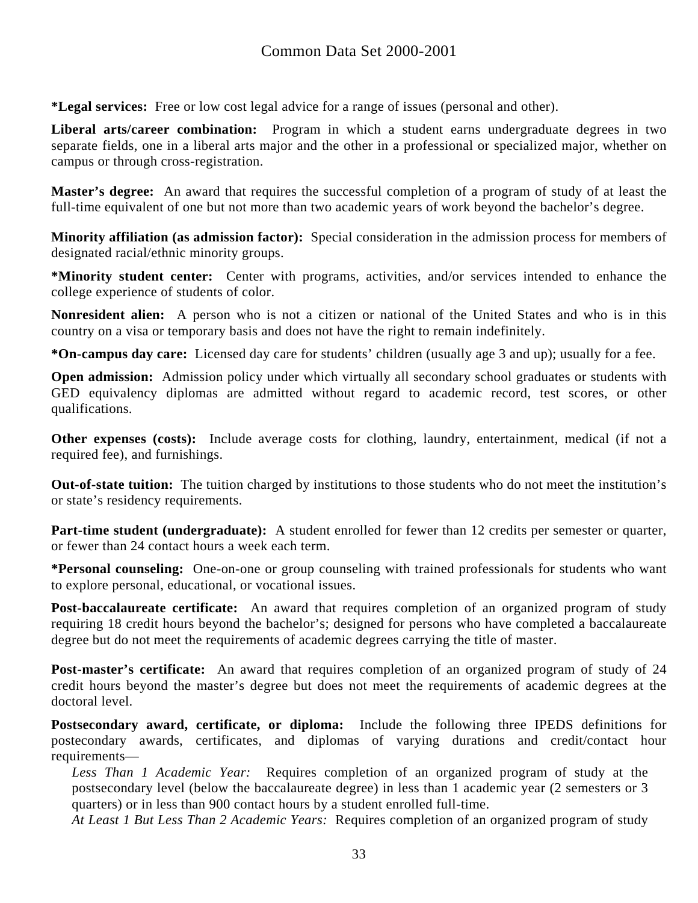**\*Legal services:** Free or low cost legal advice for a range of issues (personal and other).

**Liberal arts/career combination:** Program in which a student earns undergraduate degrees in two separate fields, one in a liberal arts major and the other in a professional or specialized major, whether on campus or through cross-registration.

**Master's degree:** An award that requires the successful completion of a program of study of at least the full-time equivalent of one but not more than two academic years of work beyond the bachelor's degree.

**Minority affiliation (as admission factor):** Special consideration in the admission process for members of designated racial/ethnic minority groups.

**\*Minority student center:** Center with programs, activities, and/or services intended to enhance the college experience of students of color.

**Nonresident alien:** A person who is not a citizen or national of the United States and who is in this country on a visa or temporary basis and does not have the right to remain indefinitely.

**\*On-campus day care:** Licensed day care for students' children (usually age 3 and up); usually for a fee.

**Open admission:** Admission policy under which virtually all secondary school graduates or students with GED equivalency diplomas are admitted without regard to academic record, test scores, or other qualifications.

**Other expenses (costs):** Include average costs for clothing, laundry, entertainment, medical (if not a required fee), and furnishings.

**Out-of-state tuition:** The tuition charged by institutions to those students who do not meet the institution's or state's residency requirements.

**Part-time student (undergraduate):** A student enrolled for fewer than 12 credits per semester or quarter, or fewer than 24 contact hours a week each term.

**\*Personal counseling:** One-on-one or group counseling with trained professionals for students who want to explore personal, educational, or vocational issues.

**Post-baccalaureate certificate:** An award that requires completion of an organized program of study requiring 18 credit hours beyond the bachelor's; designed for persons who have completed a baccalaureate degree but do not meet the requirements of academic degrees carrying the title of master.

**Post-master's certificate:** An award that requires completion of an organized program of study of 24 credit hours beyond the master's degree but does not meet the requirements of academic degrees at the doctoral level.

**Postsecondary award, certificate, or diploma:** Include the following three IPEDS definitions for postecondary awards, certificates, and diplomas of varying durations and credit/contact hour requirements—

*Less Than 1 Academic Year:* Requires completion of an organized program of study at the postsecondary level (below the baccalaureate degree) in less than 1 academic year (2 semesters or 3 quarters) or in less than 900 contact hours by a student enrolled full-time.

*At Least 1 But Less Than 2 Academic Years:* Requires completion of an organized program of study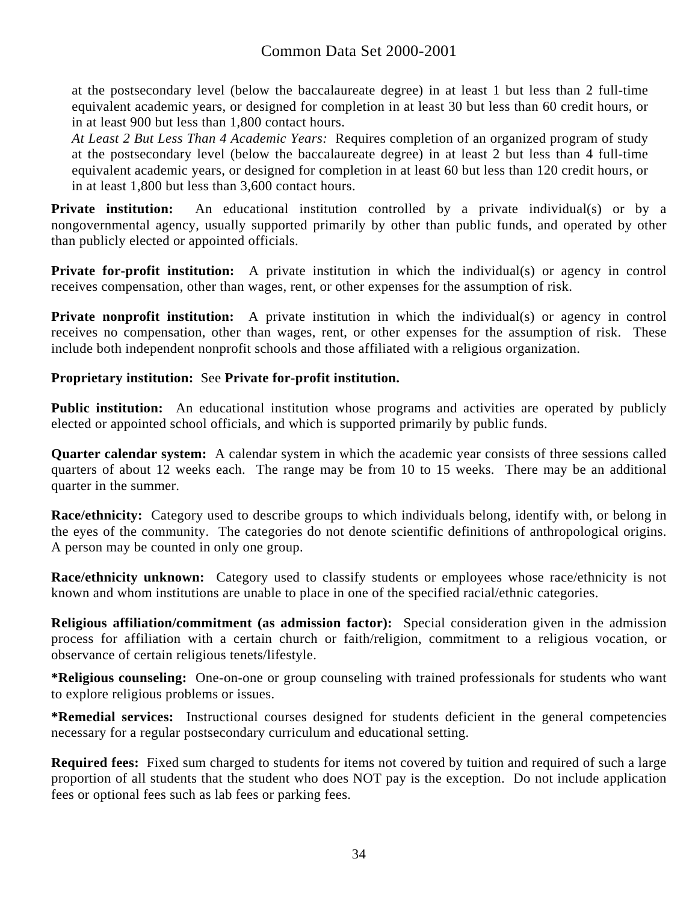at the postsecondary level (below the baccalaureate degree) in at least 1 but less than 2 full-time equivalent academic years, or designed for completion in at least 30 but less than 60 credit hours, or in at least 900 but less than 1,800 contact hours.

*At Least 2 But Less Than 4 Academic Years:* Requires completion of an organized program of study at the postsecondary level (below the baccalaureate degree) in at least 2 but less than 4 full-time equivalent academic years, or designed for completion in at least 60 but less than 120 credit hours, or in at least 1,800 but less than 3,600 contact hours.

**Private institution:** An educational institution controlled by a private individual(s) or by a nongovernmental agency, usually supported primarily by other than public funds, and operated by other than publicly elected or appointed officials.

**Private for-profit institution:** A private institution in which the individual(s) or agency in control receives compensation, other than wages, rent, or other expenses for the assumption of risk.

**Private nonprofit institution:** A private institution in which the individual(s) or agency in control receives no compensation, other than wages, rent, or other expenses for the assumption of risk. These include both independent nonprofit schools and those affiliated with a religious organization.

#### **Proprietary institution:** See **Private for-profit institution.**

**Public institution:** An educational institution whose programs and activities are operated by publicly elected or appointed school officials, and which is supported primarily by public funds.

**Quarter calendar system:** A calendar system in which the academic year consists of three sessions called quarters of about 12 weeks each. The range may be from 10 to 15 weeks. There may be an additional quarter in the summer.

**Race/ethnicity:** Category used to describe groups to which individuals belong, identify with, or belong in the eyes of the community. The categories do not denote scientific definitions of anthropological origins. A person may be counted in only one group.

**Race/ethnicity unknown:** Category used to classify students or employees whose race/ethnicity is not known and whom institutions are unable to place in one of the specified racial/ethnic categories.

**Religious affiliation/commitment (as admission factor):** Special consideration given in the admission process for affiliation with a certain church or faith/religion, commitment to a religious vocation, or observance of certain religious tenets/lifestyle.

**\*Religious counseling:** One-on-one or group counseling with trained professionals for students who want to explore religious problems or issues.

**\*Remedial services:** Instructional courses designed for students deficient in the general competencies necessary for a regular postsecondary curriculum and educational setting.

**Required fees:** Fixed sum charged to students for items not covered by tuition and required of such a large proportion of all students that the student who does NOT pay is the exception. Do not include application fees or optional fees such as lab fees or parking fees.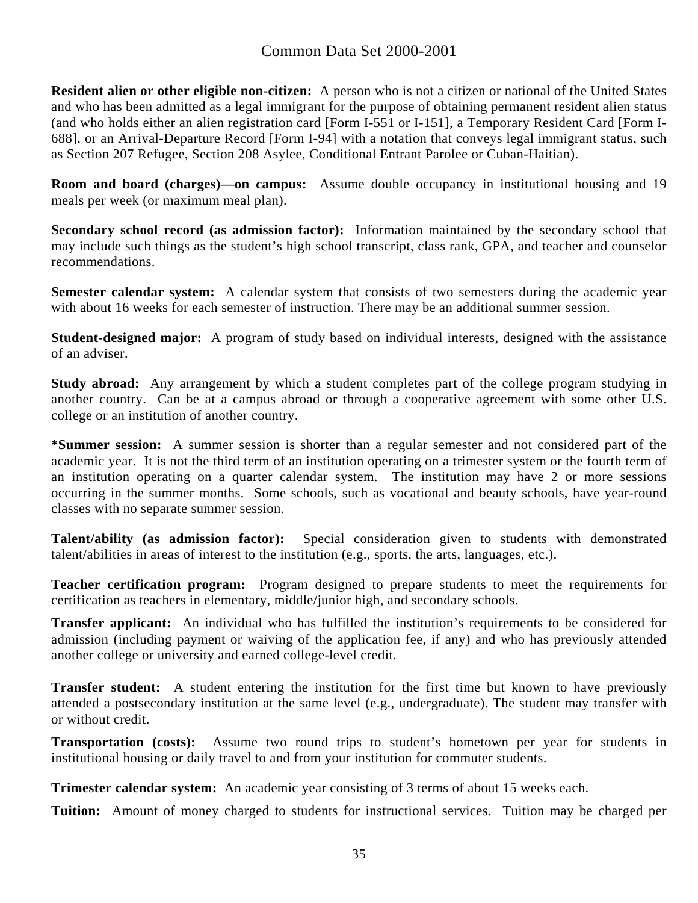# Common Data Set 2000-2001

**Resident alien or other eligible non-citizen:** A person who is not a citizen or national of the United States and who has been admitted as a legal immigrant for the purpose of obtaining permanent resident alien status (and who holds either an alien registration card [Form I-551 or I-151], a Temporary Resident Card [Form I-688], or an Arrival-Departure Record [Form I-94] with a notation that conveys legal immigrant status, such as Section 207 Refugee, Section 208 Asylee, Conditional Entrant Parolee or Cuban-Haitian).

**Room and board (charges)—on campus:** Assume double occupancy in institutional housing and 19 meals per week (or maximum meal plan).

**Secondary school record (as admission factor):** Information maintained by the secondary school that may include such things as the student's high school transcript, class rank, GPA, and teacher and counselor recommendations.

**Semester calendar system:** A calendar system that consists of two semesters during the academic year with about 16 weeks for each semester of instruction. There may be an additional summer session.

**Student-designed major:** A program of study based on individual interests, designed with the assistance of an adviser.

**Study abroad:** Any arrangement by which a student completes part of the college program studying in another country. Can be at a campus abroad or through a cooperative agreement with some other U.S. college or an institution of another country.

**\*Summer session:** A summer session is shorter than a regular semester and not considered part of the academic year. It is not the third term of an institution operating on a trimester system or the fourth term of an institution operating on a quarter calendar system. The institution may have 2 or more sessions occurring in the summer months. Some schools, such as vocational and beauty schools, have year-round classes with no separate summer session.

**Talent/ability (as admission factor):** Special consideration given to students with demonstrated talent/abilities in areas of interest to the institution (e.g., sports, the arts, languages, etc.).

**Teacher certification program:** Program designed to prepare students to meet the requirements for certification as teachers in elementary, middle/junior high, and secondary schools.

**Transfer applicant:** An individual who has fulfilled the institution's requirements to be considered for admission (including payment or waiving of the application fee, if any) and who has previously attended another college or university and earned college-level credit.

**Transfer student:** A student entering the institution for the first time but known to have previously attended a postsecondary institution at the same level (e.g., undergraduate). The student may transfer with or without credit.

**Transportation (costs):** Assume two round trips to student's hometown per year for students in institutional housing or daily travel to and from your institution for commuter students.

**Trimester calendar system:** An academic year consisting of 3 terms of about 15 weeks each.

**Tuition:** Amount of money charged to students for instructional services. Tuition may be charged per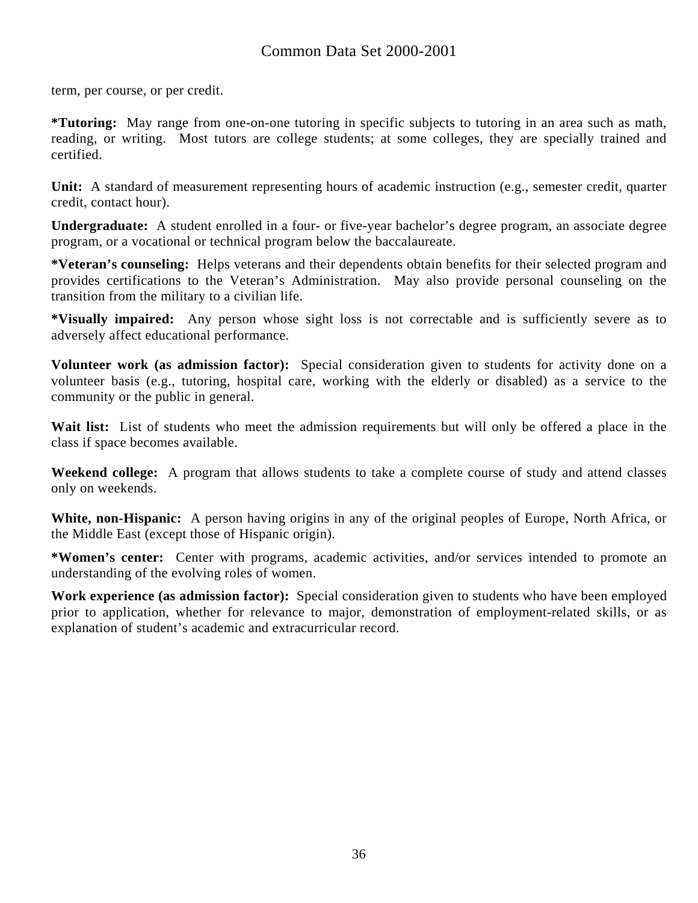term, per course, or per credit.

**\*Tutoring:** May range from one-on-one tutoring in specific subjects to tutoring in an area such as math, reading, or writing. Most tutors are college students; at some colleges, they are specially trained and certified.

**Unit:** A standard of measurement representing hours of academic instruction (e.g., semester credit, quarter credit, contact hour).

**Undergraduate:** A student enrolled in a four- or five-year bachelor's degree program, an associate degree program, or a vocational or technical program below the baccalaureate.

**\*Veteran's counseling:** Helps veterans and their dependents obtain benefits for their selected program and provides certifications to the Veteran's Administration. May also provide personal counseling on the transition from the military to a civilian life.

**\*Visually impaired:** Any person whose sight loss is not correctable and is sufficiently severe as to adversely affect educational performance.

**Volunteer work (as admission factor):** Special consideration given to students for activity done on a volunteer basis (e.g., tutoring, hospital care, working with the elderly or disabled) as a service to the community or the public in general.

Wait list: List of students who meet the admission requirements but will only be offered a place in the class if space becomes available.

**Weekend college:** A program that allows students to take a complete course of study and attend classes only on weekends.

**White, non-Hispanic:** A person having origins in any of the original peoples of Europe, North Africa, or the Middle East (except those of Hispanic origin).

**\*Women's center:** Center with programs, academic activities, and/or services intended to promote an understanding of the evolving roles of women.

**Work experience (as admission factor):** Special consideration given to students who have been employed prior to application, whether for relevance to major, demonstration of employment-related skills, or as explanation of student's academic and extracurricular record.